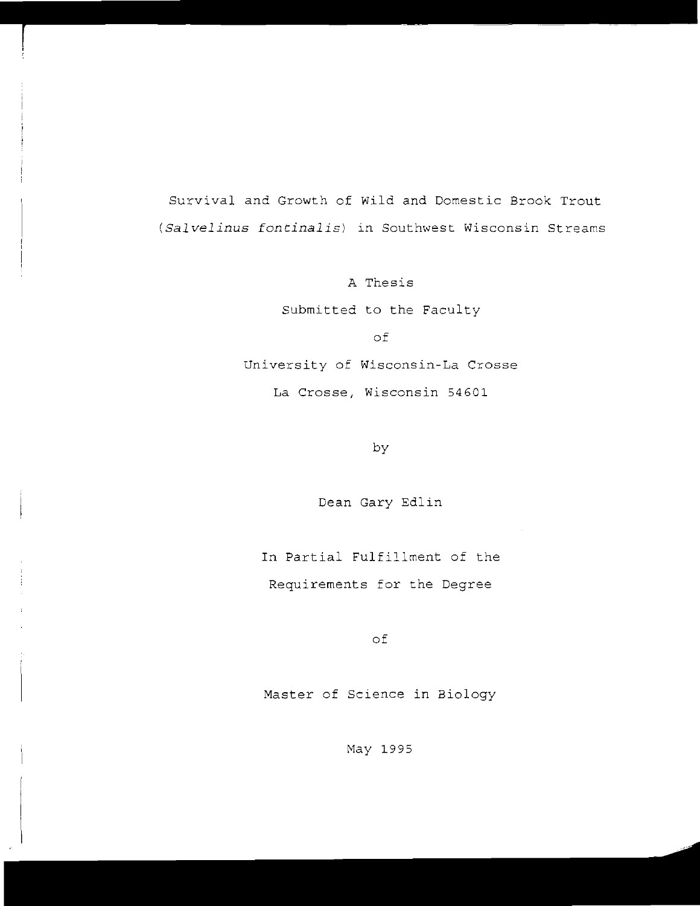Survival and Growth of wild and Domestic Brook Trout *(Salvelinus fontinalis)* in Southwest Wisconsin Streams

> A Thesis Submitted to the Faculty of

University of Wisconsin-La Crosse

La Crosse, Wisconsin 54601

by

Dean Gary Edlin

In Partial Fulfillment of the Requirements for the Degree

of

Master of Science in Biology

May 1995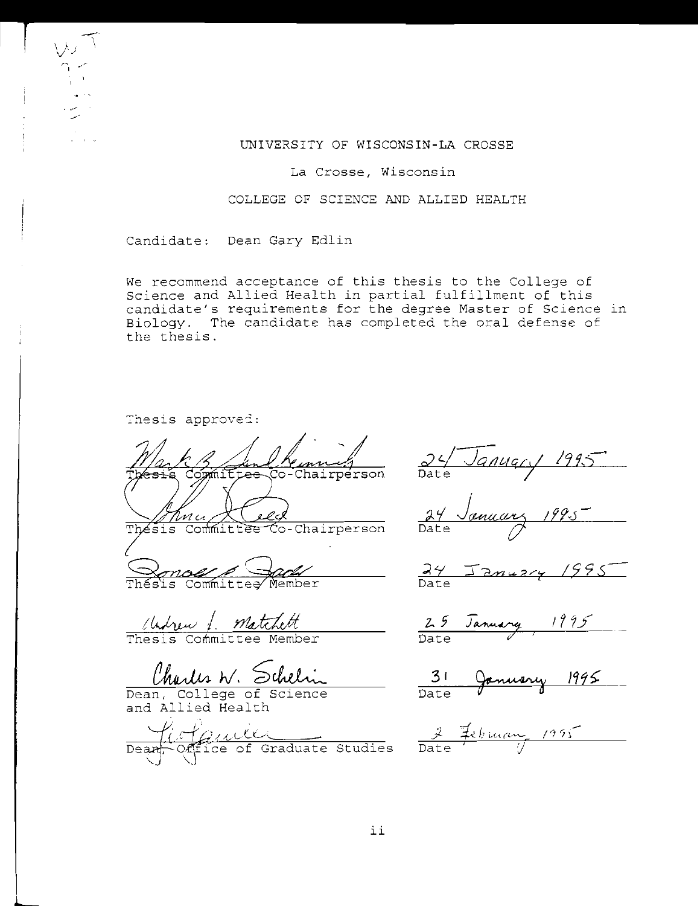## UNIVERSITY OF WISCONSIN-LA CROSSE

**La Crosse, Wisconsin** 

COLLEGE OF SCIENCE AND ALLIED HEALTH

Candidate: Dean Gary Edlin

We recommend acceptance of this thesis to the College of Science and Allied Health in partial fulfillment of this candidate's requirements for the degree Master of Science in Biology. The candidate has completed the oral defense of the thesis.

Thesis approved:

 $\nu$ 

r~1 ...

.~ /

Co-Chairperson

<u>Mun XCelcles</u><br>Thesis Committee Co-Chairperson Date<br>Qonou Cauly - 24 January 1995

Thesis Committee Member

Ilylvew 1. Matchett<br>Thesis Committee Member

Charles W. Schelin

Dean, College of Science and Allied Health

Confire Communication Contractor Contractor Contractor Contractor Contractor Contractor Contractor Contractor Contractor Contractor Contractor Contractor Contractor Contractor Contractor Contractor Contractor Contractor Co  $\frac{1}{\sqrt{1+\frac{1}{2}}i}$  rule

c2 *t.../-JQtlUCiC'/* /9 *i."2*  Date<sup>1</sup>

24 January 1995

 $\frac{24}{\text{Date}}$ 

25 January 1995 Date

January 1995 Date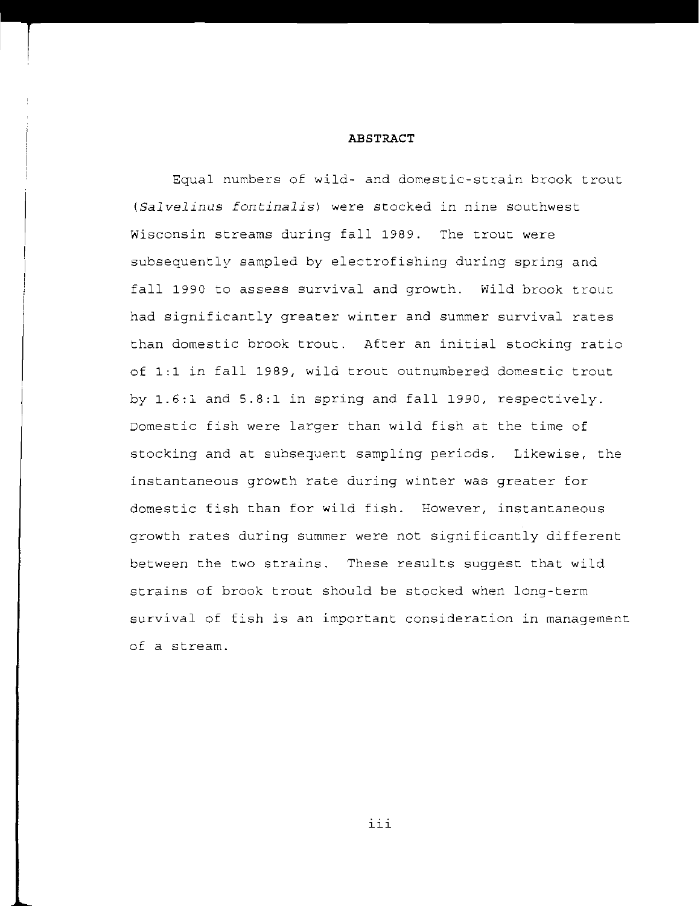### **ABSTRACT**

Equal numbers of wild- and domestic-strain brook trout *(Salvelinus fontinalis)* were stocked in nine southwest Wisconsin streams during fall 1989. The trout were subsequently sampled by electrofishing during spring and fall 1990 to assess survival and growth. Wild brook trouc had significantly greater winter and summer survival rates than domestic brook trout. After an initial stocking ratio of 1:1 in fall 1989, wild trout outnumbered domestic trout by 1.6:1 and 5.8:1 in spring and fall 1990, respectively. Domestic fish were larger than wild fish at the time of stocking and at subsequent sampling periods. Likewise, the instantaneous growth rate during winter was greater for domestic fish than for wild fish. However, instantaneous growth rates during summer were not significantly different between the two strains. These results suggest that wild strains of brook trout should be stocked when long-term survival of fish is an important consideration in management of a stream.

III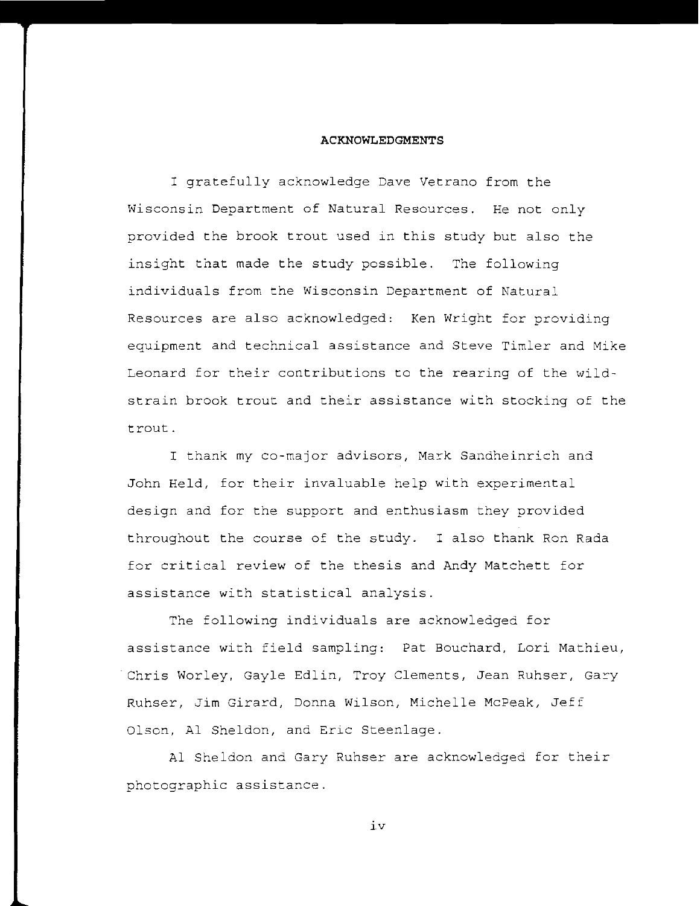## **ACKNOWLEDGMENTS**

I gratefully acknowledge Dave Vetrano from the Wisconsin Department of Natural Resources. He not only provided the brook trout used in this study but also the insight that made the study possible. The following individuals from the Wisconsin Department of Natural Resources are also acknowledged: Ken Wright for providing equipment and technical assistance and Steve Timler and Mike Leonard for their contributions to the rearing of the wildstrain brook trout and their assistance with stocking of the trout.

I thank my co-major advisors, Mark Sandheinrich and John Held, for their invaluable help with experimental design and for the support and enthusiasm they provided throughout the course of the study. I also thank Ron Rada for critical review of the thesis and Andy Matchett for assistance with statistical analysis.

The following individuals are acknowledged for assistance with field sampling: Pat Bouchard, Lori Mathieu, Chris Worley, Gayle Edlin, Troy Clements, Jean Ruhser, Gary Ruhser, Jim Girard, Donna Wilson, Michelle McPeak, Jeff Olson, Al Sheldon, and Eric Steenlage.

Al Sheldon and Gary Ruhser are acknowledged for their photographic assistance.

iv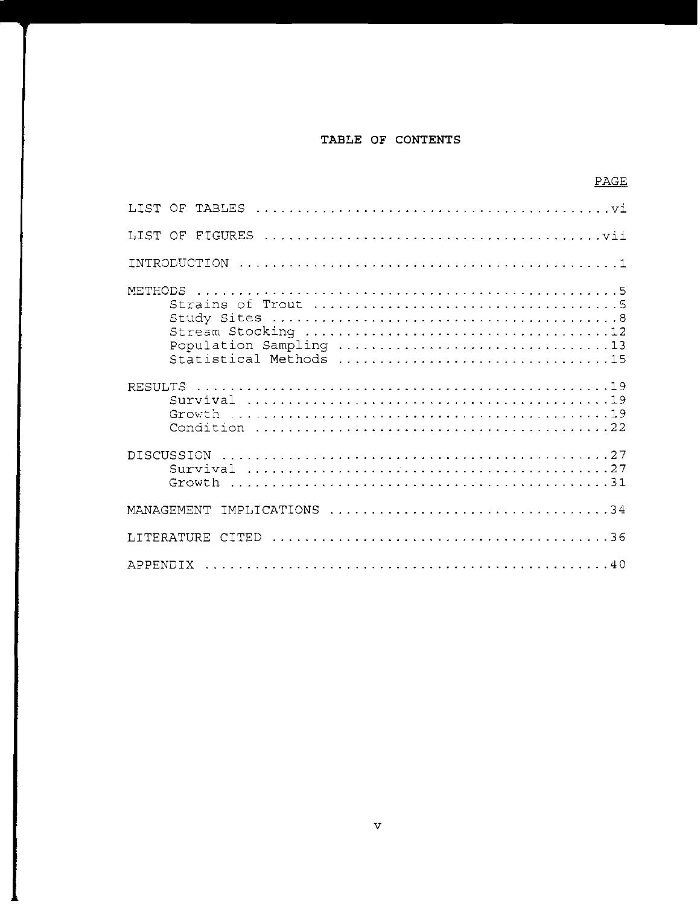# **TABLE OF CONTENTS**

PAGE

| METHODS<br>Population Sampling 13<br>Statistical Methods 15 |
|-------------------------------------------------------------|
|                                                             |
| <b>DISCUSSION</b>                                           |
| MANAGEMENT IMPLICATIONS 34                                  |
|                                                             |
|                                                             |

v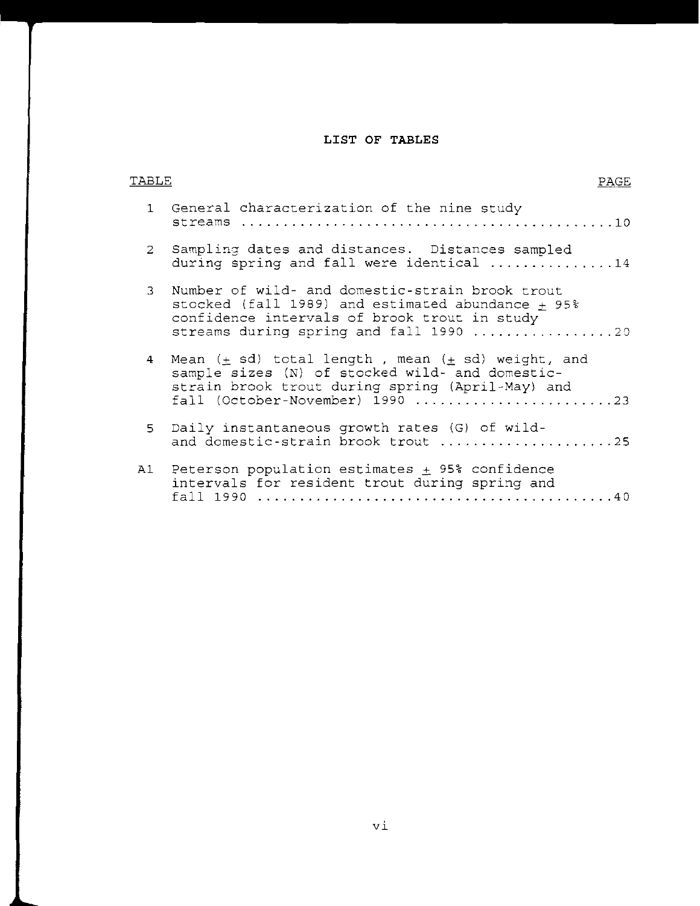# **LIST OF TABLES**

| TABLE          | PAGE                                                                                                                                                                                                         |
|----------------|--------------------------------------------------------------------------------------------------------------------------------------------------------------------------------------------------------------|
|                | 1 General characterization of the nine study<br>streams                                                                                                                                                      |
|                | 2 Sampling dates and distances. Distances sampled<br>during spring and fall were identical 14                                                                                                                |
| $\overline{3}$ | Number of wild- and domestic-strain brook trout<br>stocked (fall 1989) and estimated abundance + 95%<br>confidence intervals of brook trout in study<br>streams during spring and fall 1990 20               |
|                | 4 Mean $(\pm$ sd) total length, mean $(\pm$ sd) weight, and<br>sample sizes (N) of stocked wild- and domestic-<br>strain brook trout during spring (April-May) and<br>$fall (October-November) 1990      23$ |
|                | 5 Daily instantaneous growth rates (G) of wild-<br>and domestic-strain brook trout 25                                                                                                                        |
|                | A1 Peterson population estimates $\pm$ 95% confidence<br>intervals for resident trout during spring and<br>fall 1990                                                                                         |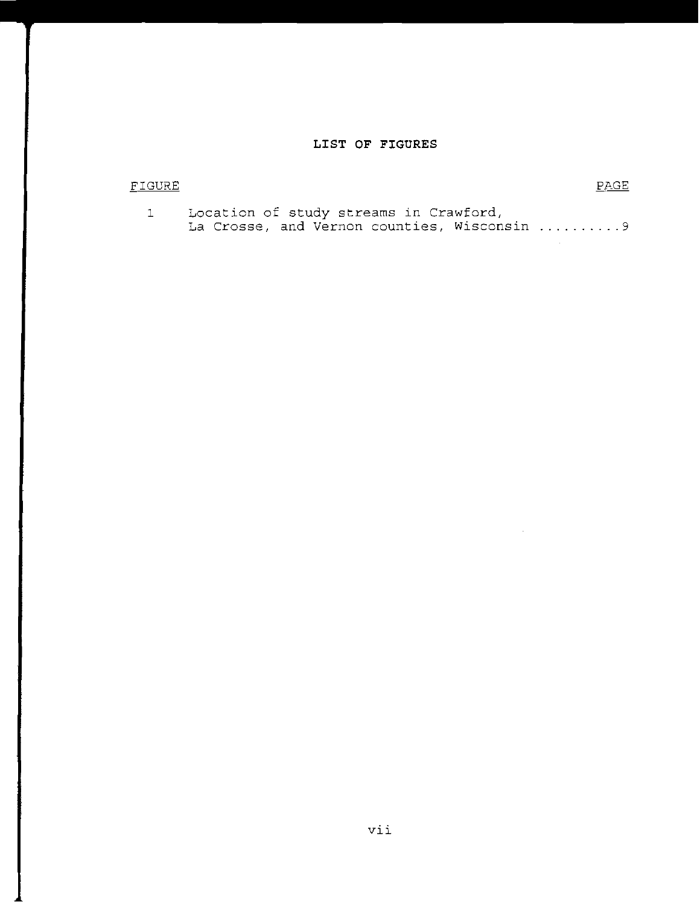# **LIST OF FIGURES**

# FIGURE PAGE

 $\sim 10$ 

 $\sim 10^{-1}$ 

| Location of study streams in Crawford, |  |  |                                             |
|----------------------------------------|--|--|---------------------------------------------|
|                                        |  |  | La Crosse, and Vernon counties, Wisconsin 9 |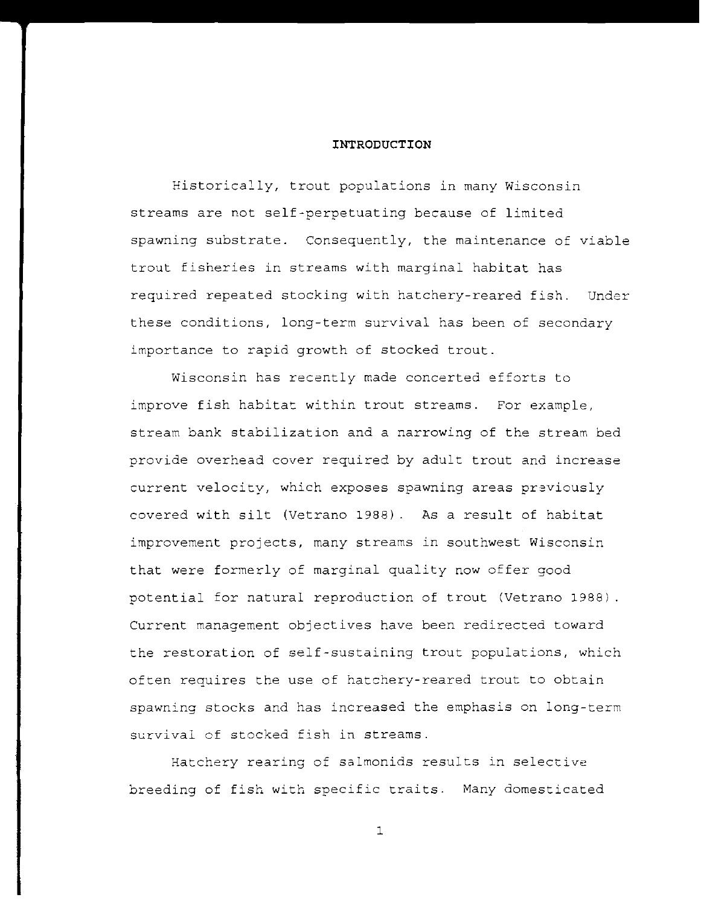## **INTRODUCTION**

Historically, trout populations in many Wisconsin streams are not self-perpetuating because of limited spawning substrate. Consequently, the maintenance of viable trout fisheries in streams with marginal habitat has required repeated stocking with hatchery-reared fish. Under these conditions, long-term survival has been of secondary importance to rapid growth of stocked trout.

Wisconsin has recently made concerted efforts to improve fish habitat within trout streams. For example, stream bank stabilization and a narrowing of the stream bed provide overhead cover required by adult trout and increase current velocity, which exposes spawning areas previously covered with silt (Vetrano 1988). As a result of habitat improvement projects, many streams in southwest Wisconsin that were formerly of marginal quality now offer good potential for natural reproduction of trout (Vetrano 1988) Current management objectives have been redirected toward the restoration of self-sustaining trout populations, which often requires the use of hatchery-reared trout to obtain spawning stocks and has increased the emphasis on long-term survival of stocked fish in streams.

Hatchery rearing of salmonids results in selective breeding of fish with specific traits. Many domesticated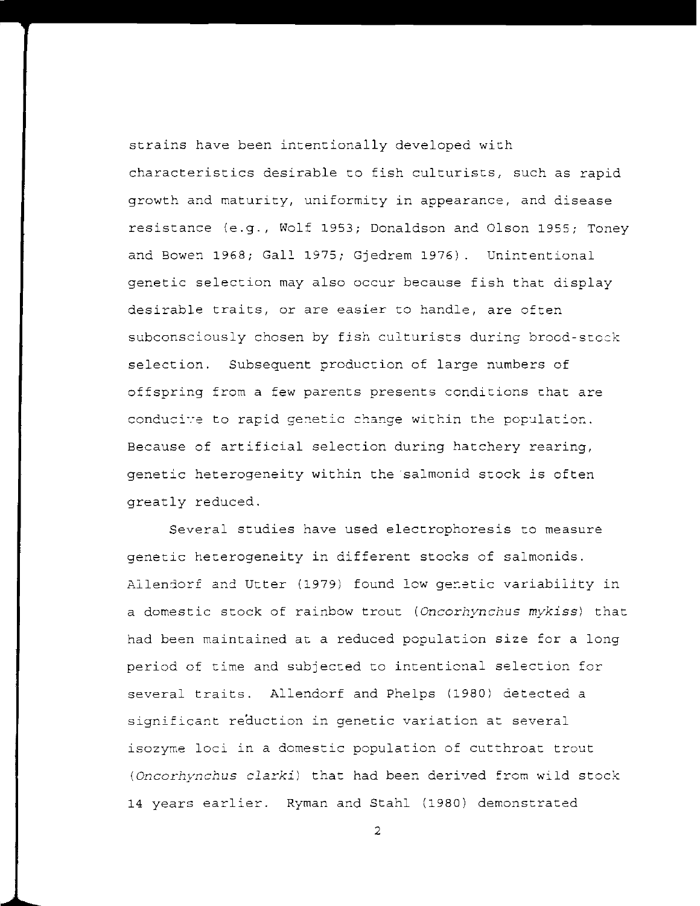strains have been intentionally developed with characteristics desirable to fish culturists, such as rapid growth and maturity, uniformity in appearance, and disease resistance (e.g., Wolf 1953; Donaldson and Olson 1955; Toney and Bowen 1968; Gall 1975; Gjedrem 1976). Unintentional genetic selection may also occur because fish that display desirable traits, or are easier to handle, are often subconsciously chosen by fish culturists during brood-stock selection. Subsequent production of large numbers of offspring from a few parents presents conditions chat are conducive to rapid genetic change within the population. Because of artificial selection during hatchery rearing, genetic heterogeneity within the salmonid stock is often greatly reduced.

Several studies have used electrophoresis to measure genetic heterogeneity in different stocks of salmonids. Allendorf and Utter (1979) found low genetic variability in a domestic stock of rainbow trout (Oncorhynchus mykiss) that had been maintained at a reduced population size for a long period of time and subjected to intentional selection for several traits. Allendorf and Phelps (1980) detected a significant reduction in genetic variation at several isozyme loci in a domestic population of cutthroat trout (Oncorhynchus clarki) that had been derived from wild stock 14 years earlier. Ryman and Stahl (1980) demonstrated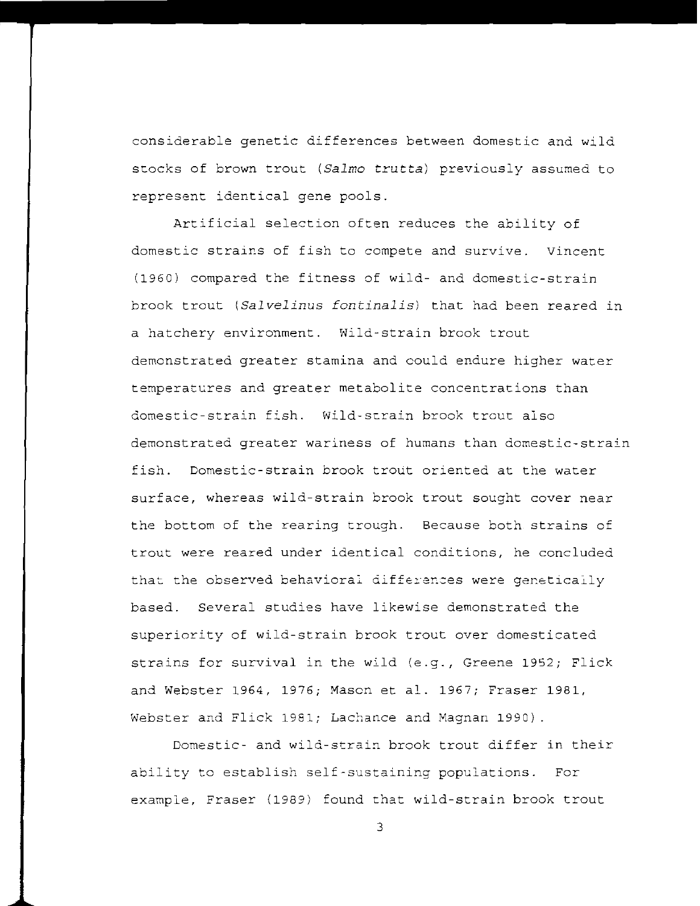considerable genetic differences between domestic and wild stocks of brown trout *(Salmo* truttal previously assumed to represent identical gene pools.

Artificial selection often reduces the ability of domestic strains of fish to compete and survive. Vincent (1960) compared the fitness of wild- and domestic-strain brook trout *(Salvelinus fontinalis)* that had been reared in a hatchery environment. Wild-strain brook trout demonstrated greater stamina and could endure higher water temperatures and greater metabolite concentrations than domestic-strain fish. Wild-strain brook trout also demonstrated greater wariness of humans than domestic-strain fish. Domestic-strain brook trout oriented at the water surface, whereas wild-strain brook trout sought cover near the bottom of the rearing trough. Because both strains of trout were reared under identical conditions, he concluded that the observed behavioral differences were genetically based. Several studies have likewise demonstrated the superiority of wild-strain brook trout over domesticated strains for survival in the wild (e.g., Greene 1952; Flick and Webster 1964, 1976; Mason et al. 1967; Fraser 1981, Webster and Flick 1981; Lachance and Magnan 1990) .

Domestic- and wild-strain brook trout differ in their ability to establish self-sustaining populations. For example, Fraser (1989) found that wild-strain brook trout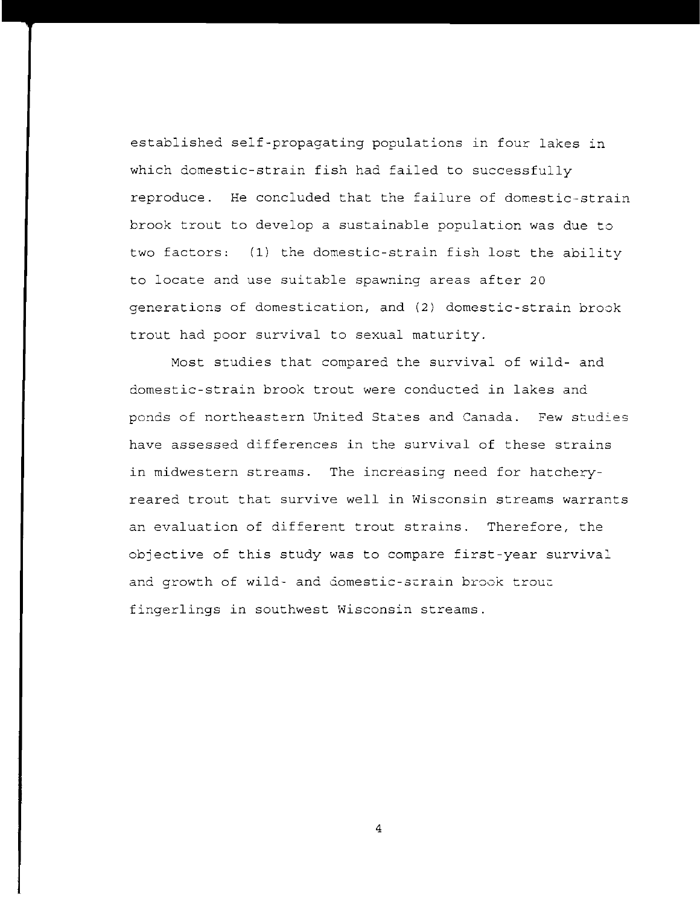established self-propagating populations in four lakes in which domestic-strain fish had failed to successfully reproduce. He concluded that the failure of domestic-strain brook trout to develop a sustainable population was due to two factors: (1) the domestic-strain fish lost the ability to locate and use suitable spawning areas after 20 generations of domestication, and (2) domestic-strain brook trout had poor survival to sexual maturity.

Most studies that compared the survival of wild- and domestic-strain brook trout were conducted in lakes and ponds of northeastern United States and Canada. Few studies have assessed differences in the survival of these strains in midwestern streams. The increasing need for hatcheryreared trout that survive well in Wisconsin streams warrants an evaluation of different trout strains. Therefore, the objective of this study was to compare first-year survival and growth of wild- and domestic-strain brook trout fingerlings in southwest Wisconsin streams.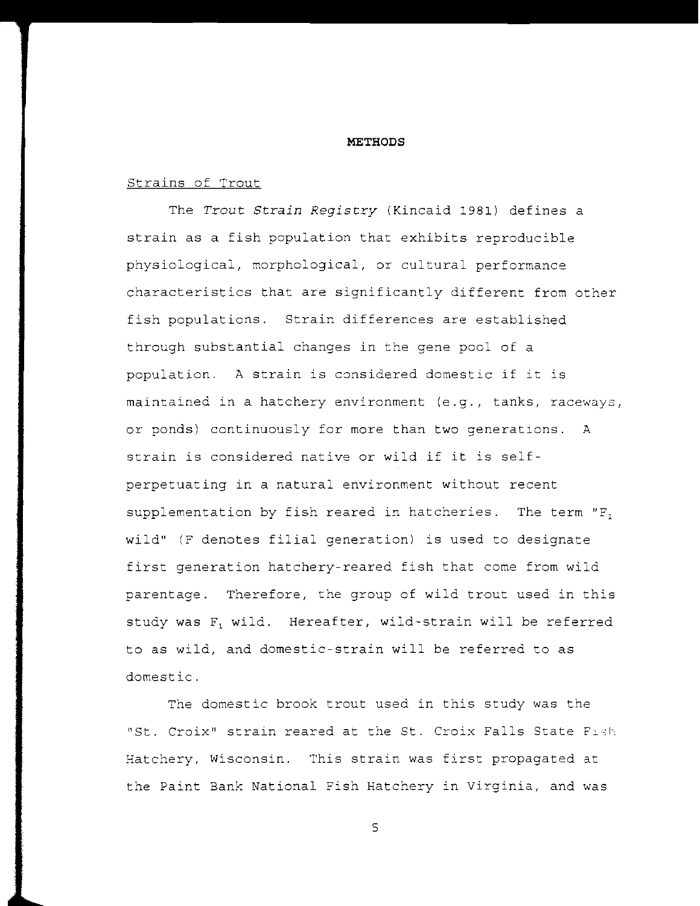#### **METHODS**

# Strains of Trout

The *Trout Strain Registry* (Kincaid 1981) defines a strain as a fish population that exhibits reproducible physiological, morphological, or cultural performance characteristics that are significantly different from other fish populations. Strain differences are established through substantial changes in the gene pool of a population. A strain is considered domestic if it is maintained in a hatchery environment (e.g., tanks, raceways, or ponds) continuously for more than two generations. A strain is considered native or wild if it is selfperpetuating in a natural environment without recent supplementation by fish reared in hatcheries. The term "F, wild" (F denotes filial generation) is used to designate first generation hatchery-reared fish that come from wild parentage. Therefore, the group of wild trout used in this study was F, wild. Hereafter, wild-strain will be referred to as wild, and domestic-strain will be referred to as domestic.

The domestic brook trout used in this study was the *l**l* **<b>***l l* **<b>***c coix<sup> <b>l</sup> strain reared at the St. Croix Falls State Fight* Hatchery, Wisconsin. This strain was first propagated at the Paint Bank National Fish Hatchery in Virginia, and was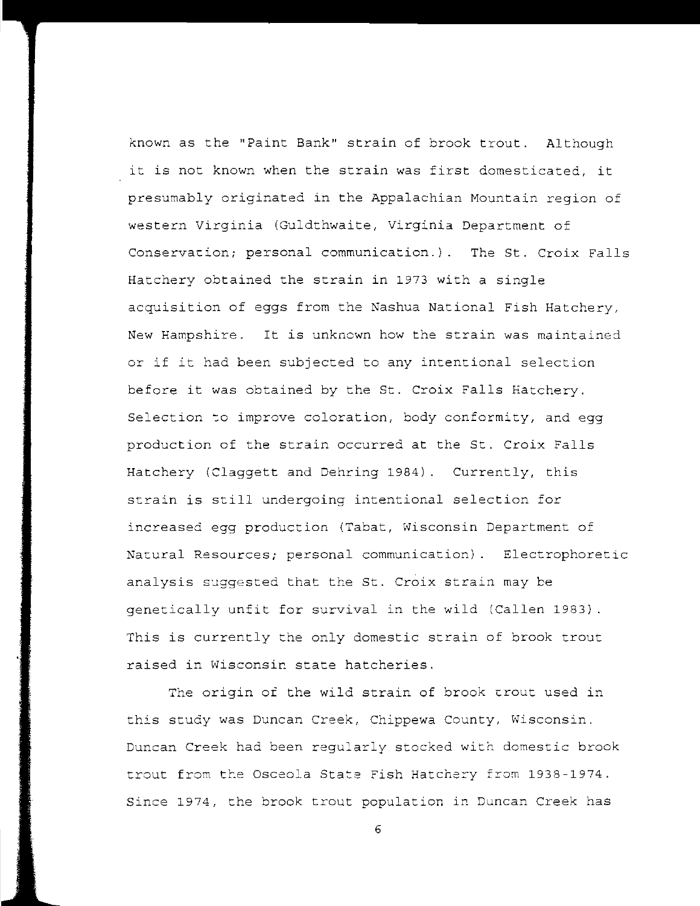known as the "Paint Bank" strain of brook trout. Although it is not known when the strain was first domesticated, it presumably originated in the Appalachian Mountain region of western Virginia (Guldthwaite, Virginia Department of Conservacion; personal communication.). The St. Croix Falls Hatchery obtained the strain in 1973 with a single acquisition of eggs from the Nashua National Fish Hatchery, New Hampshire. It is unknown how the strain was maintained or if it had been subjected to any intentional selection before it was obtained by the St. Croix Falls Hatchery. Selection to improve coloration, body conformity, and egg production of the strain occurred at the St. Croix Falls Hatchery (Claggett and Dehring 1984). Currently, this strain is still undergoing intentional selection for increased egg production (Tabat, Wisconsin Department of Natural Resources; personal communication). Electrophoretic analysis suggested that the St. Croix strain may be genetically unfit for survival in the wild (Callen 1983) This is currently the only domestic strain of brook trout raised in Wisconsin state hatcheries.

The origin of the wild strain of brook crout used in this study was Duncan *Creek,* Chippewa County, Wisconsin. Duncan *Creek* had been regularly stocked with domestic brook trout from the Osceola State Fish Hatchery from 1938-1974. Since 1974, the brook trout population in Duncan *Creek* has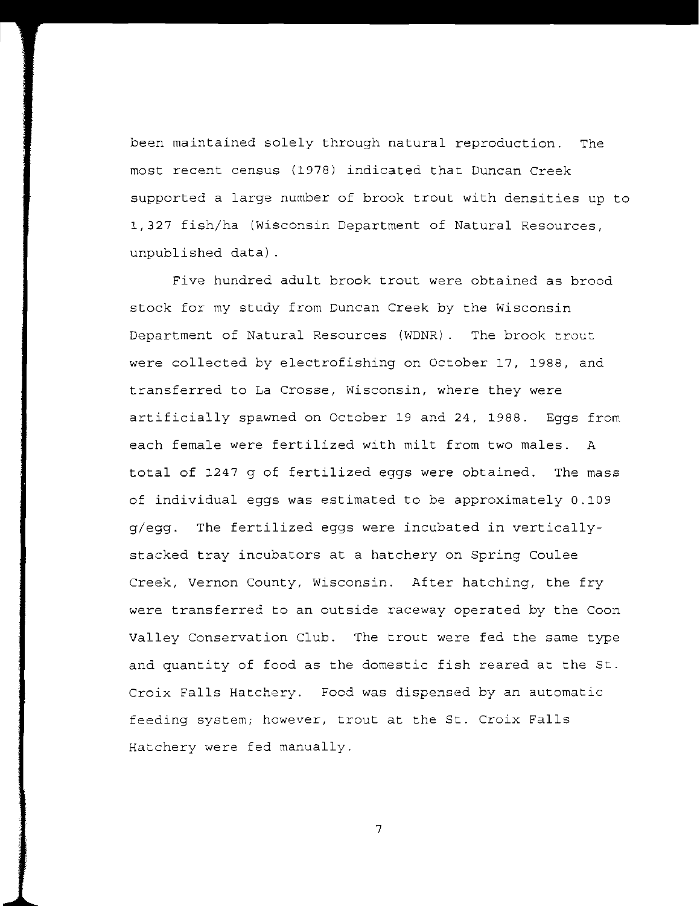been maintained solely through natural reproduction. The most recent census (1978) indicated that Duncan Creek supported a large number of brook trout with densities up to 1,327 fish/ha (Wisconsin Department of Natural Resources, unpublished data) .

Five hundred adult brook trout were obtained as brood stock for my study from Duncan Creek by the Wisconsin Department of Natural Resources (WDNR)\_ **The brook trout**  were collected by electrofishing on October 17, 1988, and transferred to La Crosse, Wisconsin, where they were artificially spawned on October 19 and 24, 1988. Eggs from each female were fertilized with milt from two males. A total of 1247 g of fertilized eggs were obtained. The mass of individual eggs was estimated to be approximately 0.109 g/egg. The fertilized eggs were incubated in verticallystacked tray incubators at a hatchery on Spring Coulee Creek, Vernon County, Wisconsin. After hatching, the fry were transferred to an outside raceway operated by the Coon Valley Conservation Club. The trout were fed the same type and quantity of food as the domestic fish reared at the St. Croix Falls Hatchery. Food was dispensed by an automatic feeding system; however, trout at the St. Croix Falls Hatchery were fed manually.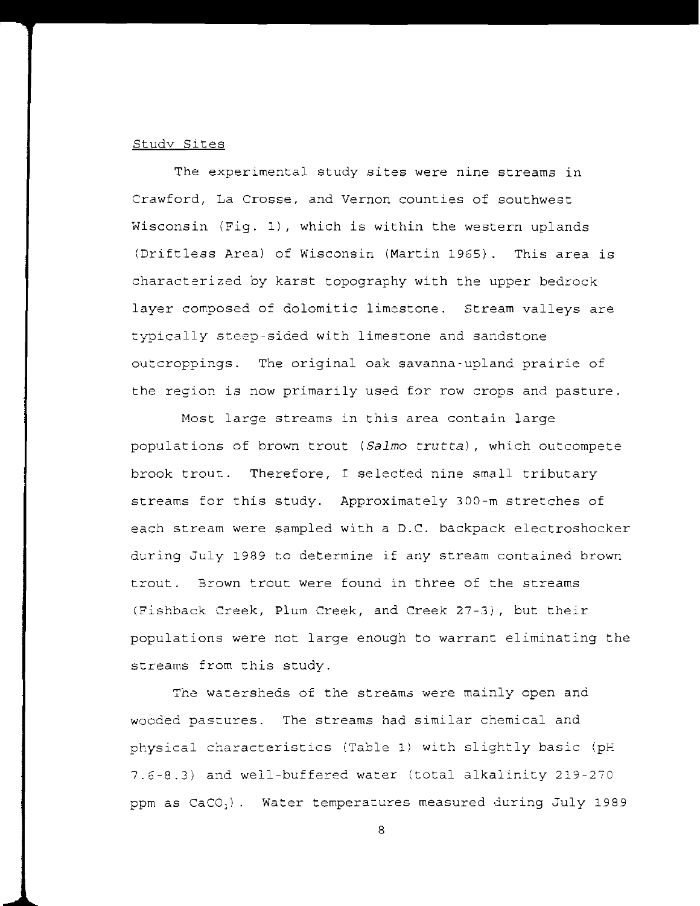## Studv Sites

The experimental study sites were nine streams in Crawford, La Crosse, and Vernon counties of southwest Wisconsin (Fig. 1), which is within the western uplands (Drift less Area) of Wisconsin (Martin 1965). This area is characterized by karst topography with the upper bedrock layer composed of dolomitic limestone. Stream valleys are typically steep-sided with limestone and sandstone outcroppings. The original oak savanna-upland prairie of the region is now primarily used for row crops and pasture.

Most large streams in this area contain large populations of brown trout *(Salmo* trutta), which outcompete brook trout. Therefore, I selected nine small tributary streams for this study. Approximately 300-m stretches of each stream were sampled with a D.C. backpack electroshocker during July 1989 to determine if any stream contained brown trout. Brown trout were found in three of the streams (Fishback Creek, Plum Creek, and Creek 27-3), but their populations were not large enough to warrant eliminating the streams from this study.

*The* watersheds of che streams were mainly open and **wooded pastures.** The streams had similar chemical and physical characteristics (Table 1) with slightly basic (pH 7.6-8.3) and well-buffered water (total alkalinity 219-270 ppm as  $CaCO<sub>3</sub>$ ). Water temperatures measured during July 1989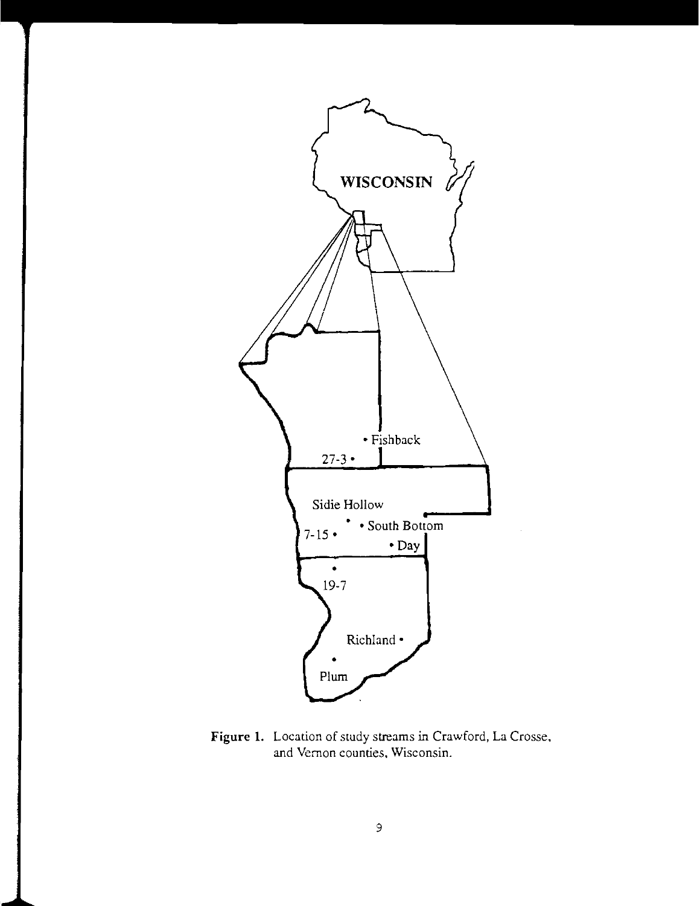

Figure 1. Location of study streams in Crawford, La Crosse, and Vernon counties. Wisconsin.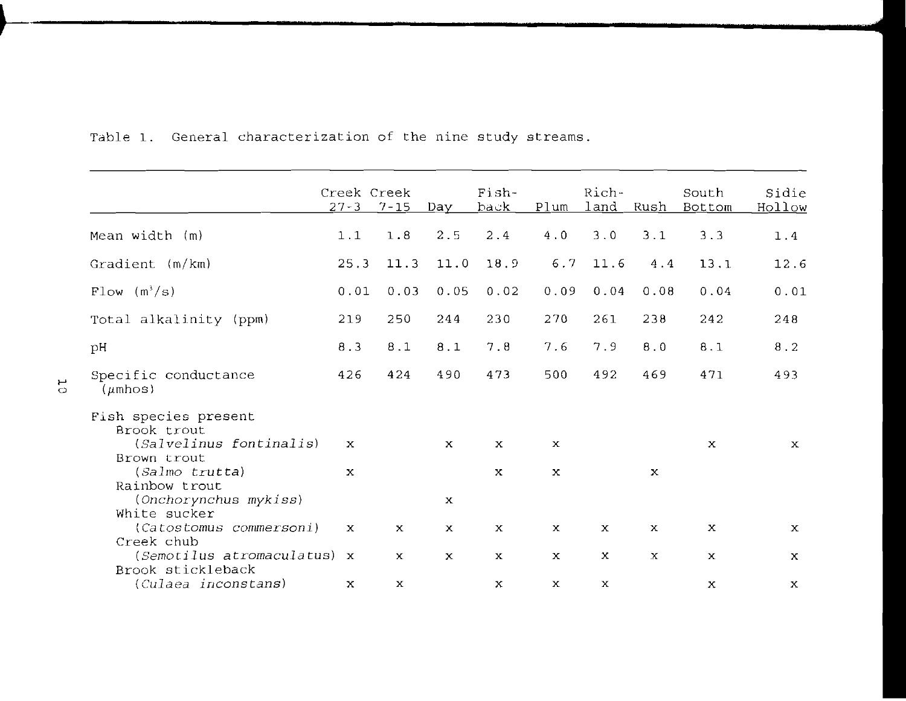|                                                                               | Creek Creek<br>$27 - 3$ 7 - 15 |              | Day          | Fish-<br><u>back</u>      | Plum                      | Rich-<br>$1$ and          | <u>Rush</u>  | South<br><b>Bottom</b>    | Sidie<br>Hollow |
|-------------------------------------------------------------------------------|--------------------------------|--------------|--------------|---------------------------|---------------------------|---------------------------|--------------|---------------------------|-----------------|
| Mean width (m)                                                                | 1.1                            | 1.8          | 2.5          | 2.4                       | 4.0                       | 3.0                       | 3.1          | 3.3                       | 1.4             |
| Gradient $(m/km)$                                                             | 25.3                           | 11.3         | 11.0         | 18.9                      | 6.7                       | 11.6                      | 4.4          | 13.1                      | 12.6            |
| $Flow (m^3/s)$                                                                | 0.01                           | 0.03         | 0.05         | 0.02                      | 0.09                      | 0.04                      | 0.08         | 0.04                      | 0.01            |
| Total alkalinity (ppm)                                                        | 219                            | 250          | 244          | 230                       | 270                       | 261                       | 238          | 242                       | 248             |
| pH                                                                            | 8.3                            | 8.1          | 8.1          | 7.8                       | 7.6                       | 7.9                       | 8.0          | 8.1                       | 8.2             |
| Specific conductance<br>$(\mu$ mhos)                                          | 426                            | 424          | 490          | 473                       | 500                       | 492                       | 469          | 471                       | 493             |
| Fish species present<br>Brook trout<br>(Salvelinus fontinalis)<br>Brown trout | $\mathbf x$                    |              | $\mathbf x$  | $\boldsymbol{\mathsf{x}}$ | $\mathbf x$               |                           |              | $\boldsymbol{\mathsf{x}}$ | $\mathbf{x}$    |
| $(Salmo$ trutta)<br>Rainbow trout<br>(Onchorynchus mykiss)                    | $\mathbf x$                    |              | $\mathbf{x}$ | $\mathbf{x}$              | $\boldsymbol{\mathsf{x}}$ |                           | $\mathbf x$  |                           |                 |
| White sucker<br>(Catostomus commersoni)<br>Creek chub                         | $\mathbf x$                    | $\mathbf x$  | $\mathbf{x}$ | $\mathbf x$               | $\mathbf{x}$              | $\mathbf x$               | X            | $\mathbf x$               | $\mathbf x$     |
| $(Semotilus atromaculatus)$ x<br>Brook stickleback                            |                                | $\mathbf{x}$ | $\mathbf x$  | $\mathbf x$               | $\mathbf{x}$              | $\boldsymbol{\mathsf{x}}$ | $\mathbf{x}$ | $\mathbf{x}$              | $\mathbf{x}$    |
| (Culaea inconstans)                                                           | x                              | $\mathbf x$  |              | $\boldsymbol{\mathsf{x}}$ | $\mathbf x$               | $\mathbf x$               |              | x                         | x               |

.~

Table 1. General characterization of the nine study streams.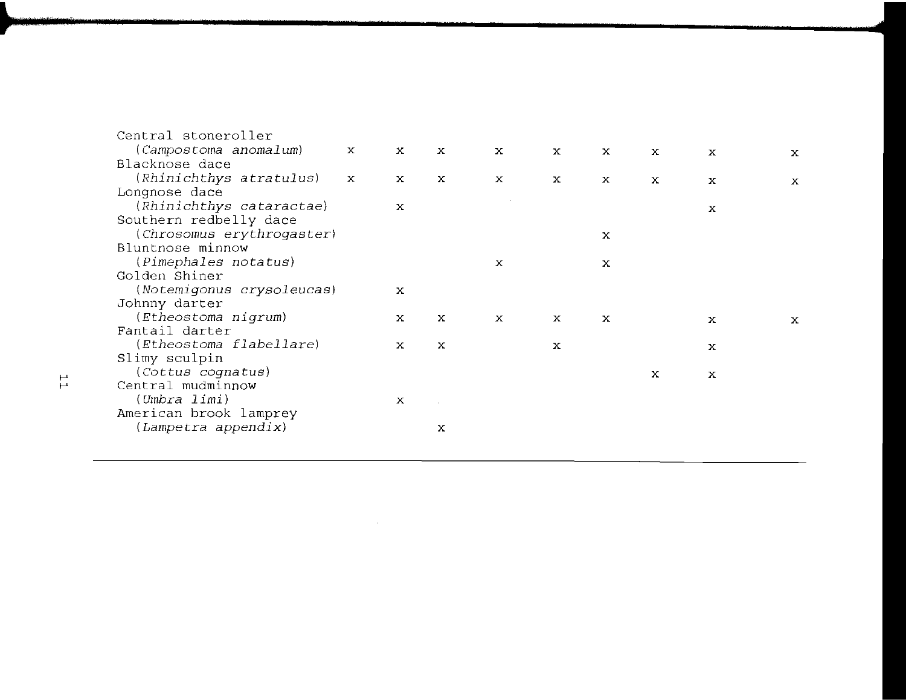| $\mathbf{x}$ | $\mathbf{x}$ | $\mathbf{x}$ | $\mathbf{x}$ | $\mathbf{x}$ | x | $\mathbf{x}$ | $\mathbf{x}$ | x           |
|--------------|--------------|--------------|--------------|--------------|---|--------------|--------------|-------------|
|              |              |              |              |              |   |              |              |             |
| $\mathbf{x}$ | x            | X            | X            | x            | X | $\mathbf{x}$ | $\mathbf{x}$ | $\mathbf x$ |
|              |              |              |              |              |   |              |              |             |
|              | $\mathbf x$  |              |              |              |   |              |              |             |
|              |              |              |              |              |   |              |              |             |
|              |              |              |              |              | x |              |              |             |
|              |              |              |              |              |   |              |              |             |
|              |              |              | x            |              | X |              |              |             |
|              |              |              |              |              |   |              |              |             |
|              | $\mathbf x$  |              |              |              |   |              |              |             |
|              |              |              |              |              |   |              |              |             |
|              | $\mathbf x$  | x            | $\mathbf{x}$ | $\mathbf{x}$ | x |              | x            | x           |
|              |              |              |              |              |   |              |              |             |
|              | x            | x            |              | x            |   |              | x            |             |
|              |              |              |              |              |   |              |              |             |
|              |              |              |              |              |   | х            | X            |             |
|              |              |              |              |              |   |              |              |             |
|              | х            |              |              |              |   |              |              |             |
|              |              |              |              |              |   |              |              |             |
|              |              | x            |              |              |   |              |              |             |
|              |              |              |              |              |   |              |              |             |
|              |              |              |              |              |   |              |              | X           |

 $\mathcal{L}^{\text{max}}_{\text{max}}$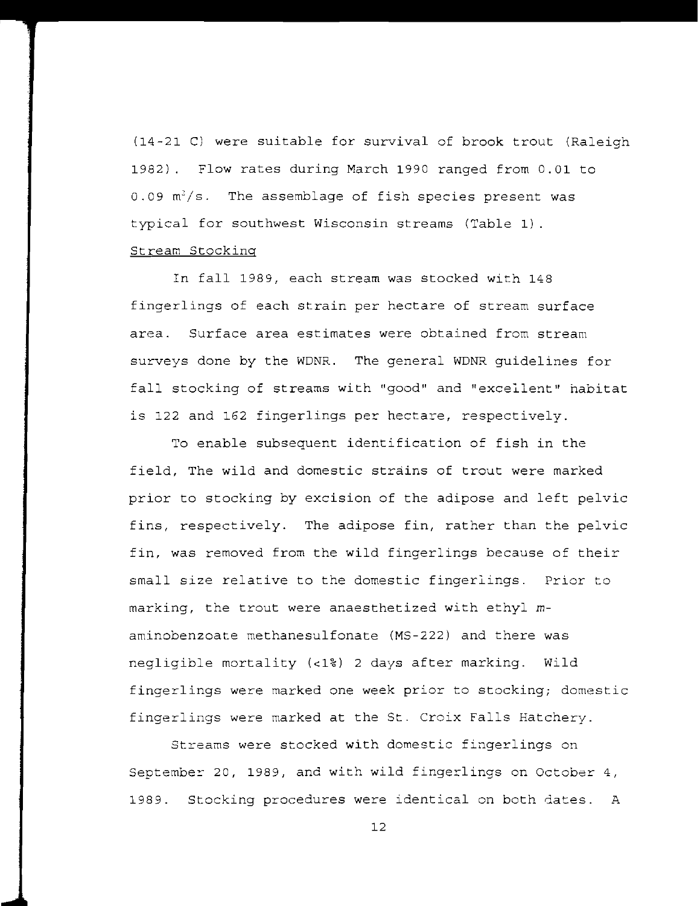(14-21 C) were suitable for survival of brook trout (Raleigh 1982). Flow rates during March 1990 ranged from 0.01 to  $0.09 \text{ m}^3/\text{s}$ . The assemblage of fish species present was typical for southwest Wisconsin streams (Table 1). Stream Stocking

In fall 1989, each stream was stocked with 148 fingerlings of each strain per hectare of stream surface area. Surface area estimates were obtained from stream surveys done by the WDNR. The general WDNR guidelines for fall stocking of streams with "good" and "excellent" habitat is 122 and 162 fingerlings per hectare, respectively.

To enable subsequent identification of fish in the field, The wild and domestic strains of trout were marked prior to stocking by excision of the adipose and left pelvic fins, respectively. The adipose fin, rather than the pelvic fin, was removed from the wild fingerlings because of their small size relative to the domestic fingerlings. Prior to marking, the trout were anaesthetized with ethyl *m*aminobenzoate methanesulfonate (MS-222) and there was negligible mortality (<1%) 2 days after marking. Wild fingerlings were marked one week prior to stocking; domestic fingerlings were marked at the St. Croix Falls Hatchery.

Streams were stocked with domestic fingerlings on September 20, 1989, and with wild fingerlings on October 4, 1989. Stocking procedures were identical on both dates. A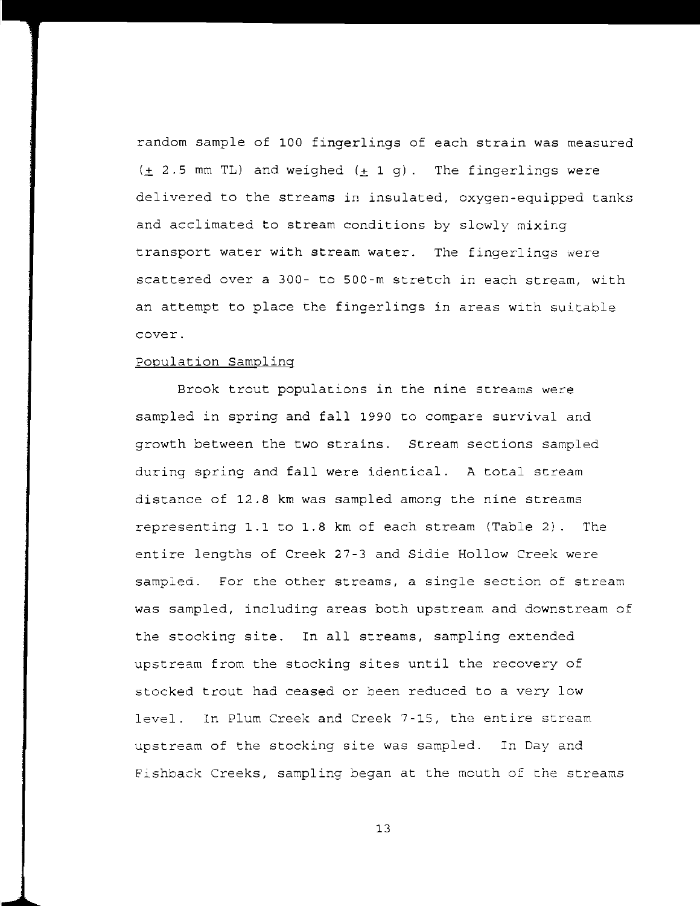random sample of 100 fingerlings of each strain was measured  $(+ 2.5$  mm TL) and weighed  $(\pm 1 q)$ . The fingerlings were delivered to the streams in insulated, oxygen-equipped tanks and acclimated to stream conditions by slowly mixing transport water with stream water. The fingerlings were scattered over a 300- to 500-m stretch in each stream, with an attempt to place the fingerlings in areas with suitable **cover.** 

## Population Sampling

Brook trout populacions in the nine screams were sampled in spring and fall 1990 to compare survival and growth between the two strains. Stream sections sampled during spring and fall were identical. A total stream distance of 12.8 km was sampled among the nine streams representing 1.1 to 1.8 km of each stream (Table 2). The entire lengths of Creek 27-3 and Sidie Hollow Creek were sampled. For che other streams, a single section of stream was sampled, including areas both upstream and downstream of the stocking site. In all streams, sampling extended upstream from the stocking sites until the recovery of stocked trout had ceased or been reduced to a very low level. In Plum Creek and Creek 7-15, the entire stream upstream of the stocking site was sampled. In Day and Fishback Creeks, sampling began at the mouth of che streams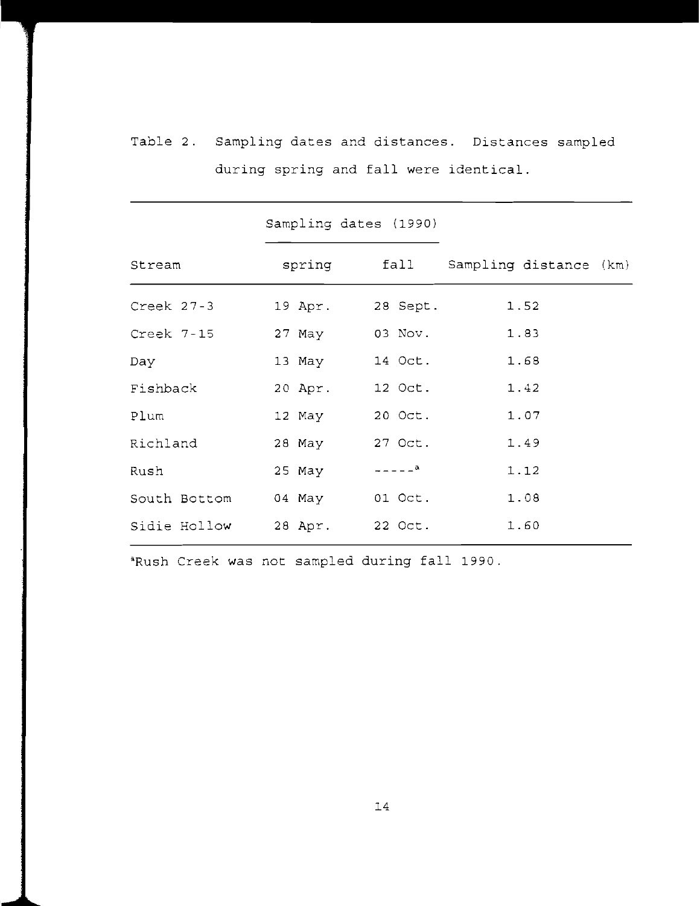|                             | Sampling dates (1990) |                          |                                    |  |
|-----------------------------|-----------------------|--------------------------|------------------------------------|--|
| Stream                      |                       |                          | spring fall Sampling distance (km) |  |
| Creek 27-3                  |                       | 19 Apr. 28 Sept.         | 1.52                               |  |
| Creek 7-15                  |                       | 27 May 03 Nov.           | 1.83                               |  |
| Day                         |                       | 13 May 14 Oct.           | 1.68                               |  |
| Fishback                    |                       | 20 Apr. 12 Oct.          | 1.42                               |  |
| Plum                        |                       | 12 May 20 Oct.           | 1.07                               |  |
| Richland                    |                       | 28 May 27 Oct.           | 1.49                               |  |
| Rush                        | 25 May                | $- - - - -$ <sup>a</sup> | 1.12                               |  |
| South Bottom 04 May 01 Oct. |                       |                          | 1.08                               |  |
| Sidie Hollow                | 28 Apr. 22 Oct.       |                          | 1.60                               |  |

Table 2. Sampling dates and distances. Distances sampled during spring and fall were identical.

**こころが、そのことです。そのことです。 インター こうしょう こうきょうしょう かいしょう こうしょう しょうしょう しょうしょう しょうしょう しょうしょう しょうこうじょう** 

'Rush Creek was not sampled during fall 1990.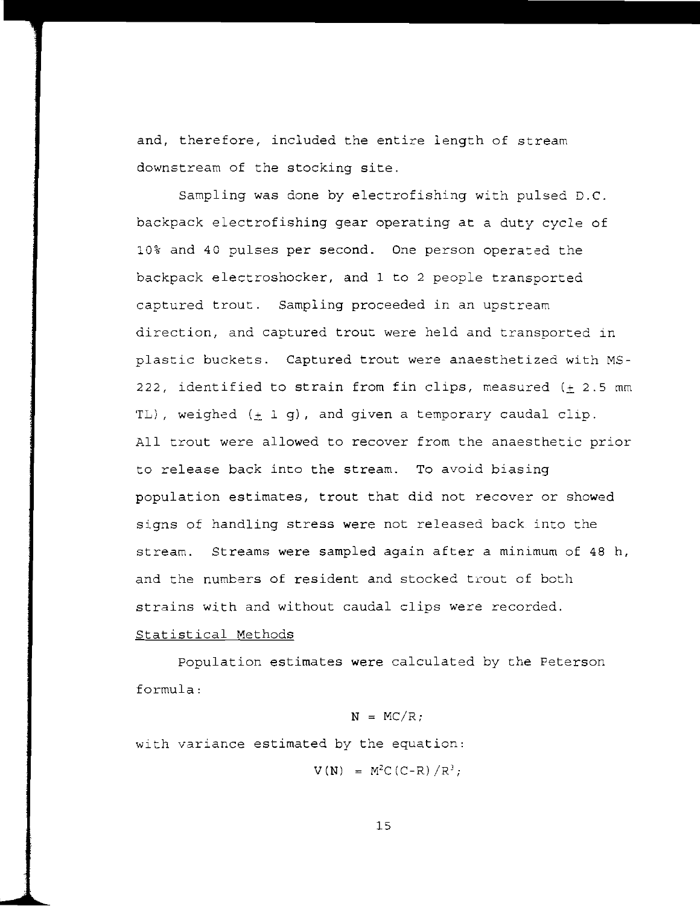and, therefore, included the entire length of stream downstream of the stocking site.

Sampling was done by electrofishing with pulsed D.C. backpack electrofishing gear operating at a duty cycle of 10% and 40 pulses per second. One person operated the backpack electroshocker, and 1 to 2 people transported captured trout. Sampling proceeded in an upstream direction, and captured trout were held and transported in plastic buckets. Captured trout were anaesthetized with MS-222, identified to strain from fin clips, measured  $(+ 2.5$  mm TL), weighed  $(\pm 1$  g), and given a temporary caudal clip. All trout were allowed to recover from the anaesthetic prior to release back into the stream. To avoid biasing population estimates, trout that did not recover or showed signs of handling stress were not released back into the stream. Streams were sampled again after a minimum of 48 h, and the numbers of resident and stocked trout of both strains with and without caudal clips were recorded.

# Statistical Methods

population estimates were calculated by the Peterson formula:

## $N = MC/R$ ;

with variance estimated by the equation:

 $V(N) = M^2C(C-R)/R^3;$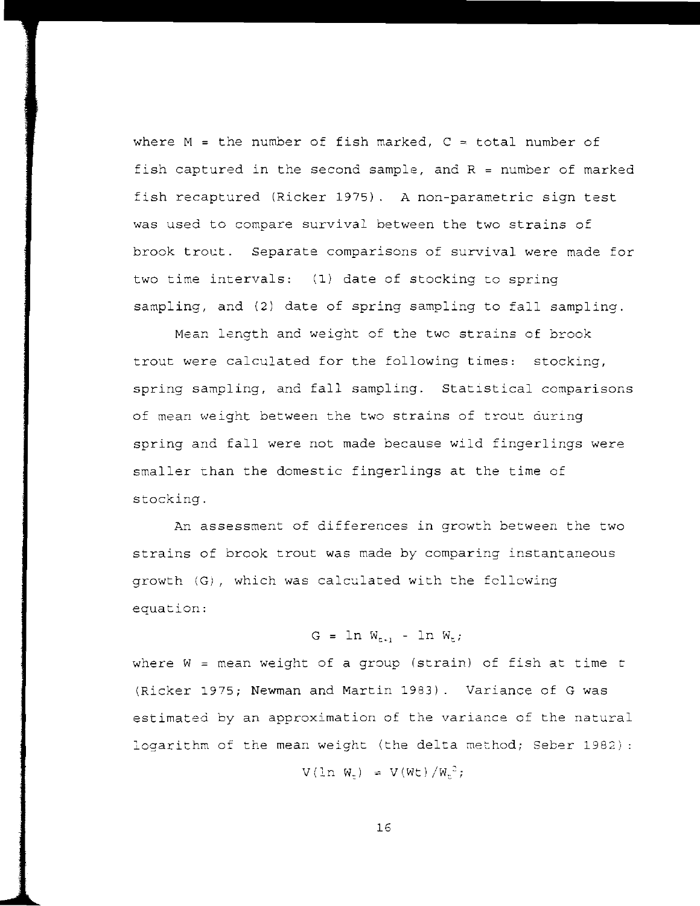where M = the number of fish marked,  $C =$  total number of fish captured in the second sample, and  $R = number of$  marked fish recaptured (Ricker 1975). A non-parametric sign test was used to compare survival between the two strains of brook trout. Separate comparisons of survival were made for two time intervals: (1) date of stocking to spring sampling, and (2) date of spring sampling to fall sampling.

Mean length and weight of the two strains of brook trout were calculated for the following times: stocking, spring sampling, and fall sampling. Statistical comparisons of mean weight between the two strains of trout during spring and fall were not made because wild fingerlings were smaller than the domestic fingerlings at the time of stocking.

An assessment of differences in growth between the two strains of brook trout was made by comparing instantaneous growth (G), which was calculated with the following equation:

G =  $\ln W_{t+1}$  -  $\ln W_{t}$ ;

where  $W =$  mean weight of a group (strain) of fish at time  $t$ (Ricker 1975; Newman and Martin 1983). Variance of G was estimated by an approximation of the variance of the natural logarithm of the mean weight (the delta method; Seber 1982) :

 $V(\ln W_t) = V(Wt)/W_t^2;$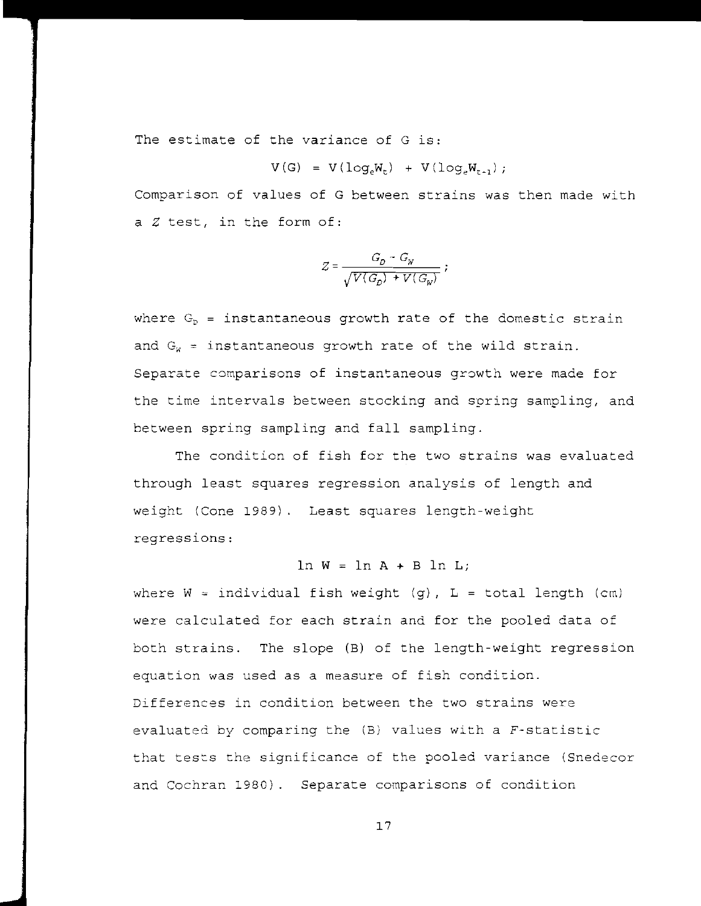The estimate of the variance of G is:

$$
V(G) = V(\log_{e}W_{t}) + V(\log_{e}W_{t-1});
$$

Comparison of values of G between strains was then made with a Z test, in the form of:

$$
Z=\frac{G_D\,-\,G_W}{\sqrt{V(G_D)\,+\,V\left(\,G_W\right)}}\,\,;
$$

where  $G_p$  = instantaneous growth rate of the domestic strain and  $G_w =$  instantaneous growth rate of the wild strain. Separate comparisons of instantaneous growth were made for the time intervals between stocking and spring sampling, and between spring sampling and fall sampling.

The condition of fish for the two strains was evaluated through least squares regression analysis of length and weight (Cone 1989). Least squares length-weight regressions:

 $\ln W = \ln A + B \ln L;$ 

where  $W = \text{individual fish weight (g)$ ,  $L = \text{total length (cm)}$ were calculated for each strain and for the pooled data of both strains. The slope (B) of the length-weight regression equation was used as a measure of fish condition. Differences in condition between the two strains were evaluated by comparing the  $(B)$  values with a F-statistic that tests the significance of the pooled variance (Snedecor and Cochran 1980). Separate comparisons of condition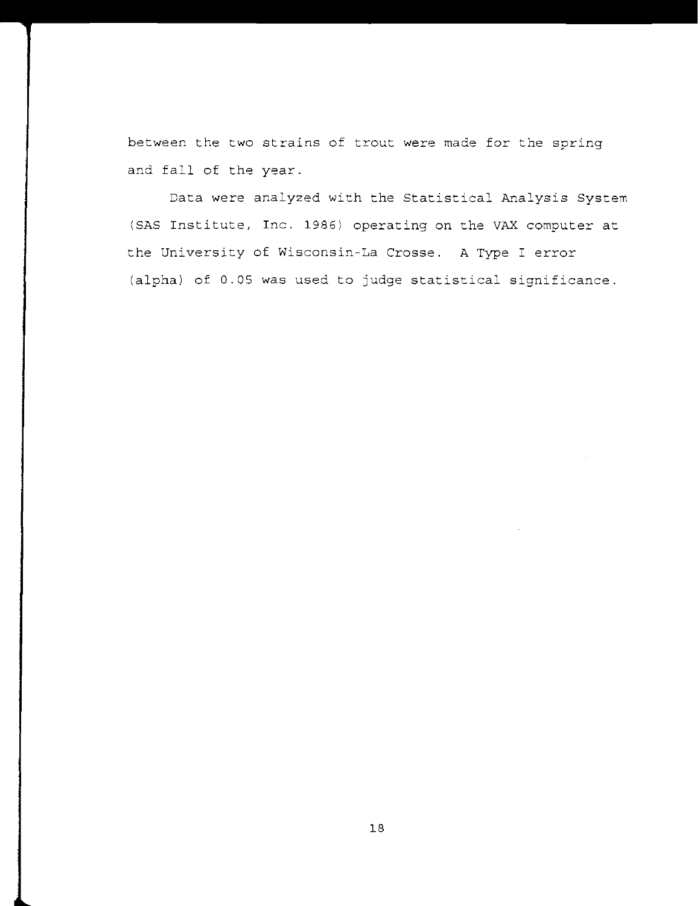between the two strains of trout were made for the spring and fall of the year.

Data were analyzed with the Statistical Analysis System (SAS Institute, Inc. 1986) operating on the VAX computer at the University of Wisconsin-La Crosse. A Type I error (alpha) of 0.05 was used to judge statistical significance.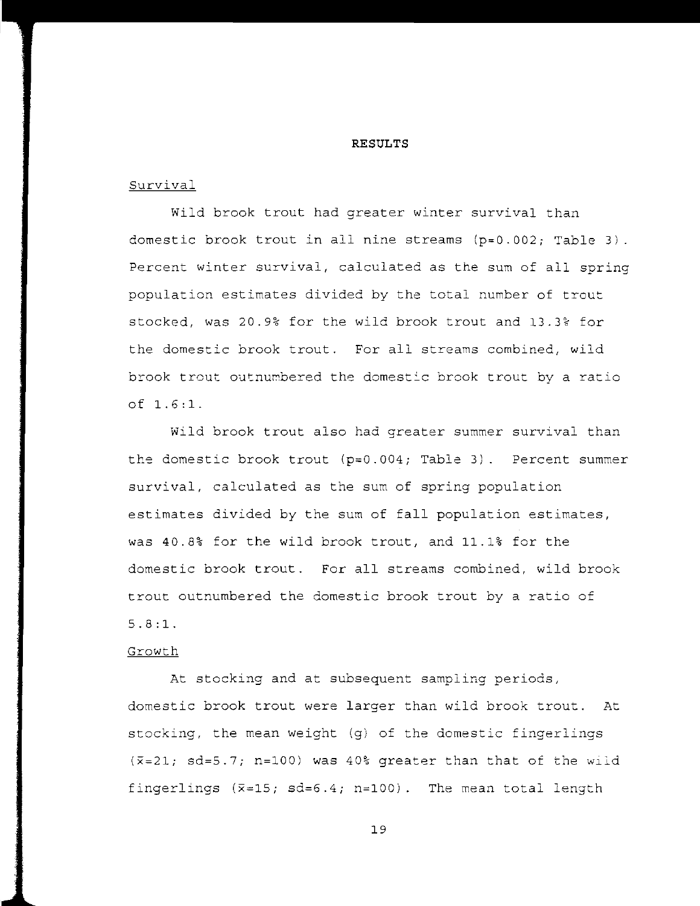# **RESULTS**

# Survival

Wild brook trout had greater winter survival than domestic brook trout in all nine streams  $(p=0.002;$  Table 3). Percent winter survival, calculated as the sum of all spring population estimates divided by the total number of trout stocked, was 20.9% for the wild brook trout and 13.3% for the domestic brook trout. For all streams combined, wild brook trout outnumbered the domestic brook trout by a ratio of 1.6:1.

wild brook trout also had greater summer survival than the domestic brook trout  $(p=0.004;$  Table 3). Percent summer survival, calculated as the sum of spring population estimates divided by the sum of fall population estimates, was 40.8% for the wild brook trout, and 11.1% for the domestic brook trout. For all streams combined, wild brook trout outnumbered the domestic brook trout by a ratio of 5.8:1.

## Growth

At stocking and at subsequent sampling periods, domestic brook trout were larger than wild brook trout. At stocking, the mean weight (g) of the domestic fingerlings  $(\overline{x}=21; sd=5.7; n=100)$  was 40% greater than that of the wild fingerlings  $(\overline{x}=15; s d=6.4; n=100)$ . The mean total length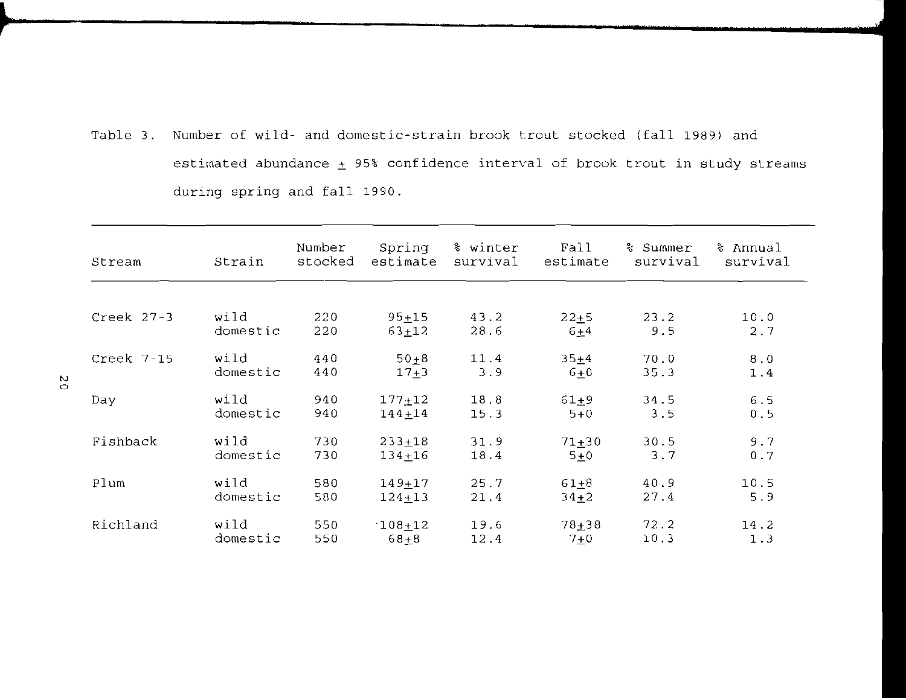Table 3. Number of wild- and domestic-strain brook trout stocked (fall 1989) and estimated abundance  $\pm$  95% confidence interval of brook trout in study streams during spring and fall 1990.

| Stream       | Strain   | Number<br>stocked | Spring<br>estimate | % winter<br>survival | Fall<br>estimate | % Summer<br>survival | % Annual<br>survival |
|--------------|----------|-------------------|--------------------|----------------------|------------------|----------------------|----------------------|
|              |          |                   |                    |                      |                  |                      |                      |
| Creek $27-3$ | wild     | 220               | $95 + 15$          | 43.2                 | $22 + 5$         | 23.2                 | 10.0                 |
|              | domestic | 220               | $63 + 12$          | 28.6                 | $6+4$            | 9.5                  | 2.7                  |
| Creek 7-15   | wild     | 440               | $50 + 8$           | 11.4                 | $35 + 4$         | 70.0                 | 8.0                  |
|              | domestic | 440               | $17 + 3$           | 3.9                  | $6+0$            | 35.3                 | $1.4$                |
| Day          | wild     | 940               | $177 + 12$         | 18.8                 | $61 + 9$         | 34.5                 | 6.5                  |
|              | domestic | 940               | $144 + 14$         | 15.3                 | $5 + 0$          | 3.5                  | 0.5                  |
| Fishback     | wild     | 730               | $233 + 18$         | 31.9                 | $71 + 30$        | 30.5                 | 9.7                  |
|              | domestic | 730               | $134 + 16$         | 18.4                 | $5+0$            | 3.7                  | 0.7                  |
| Plum         | wild     | 580               | $149 + 17$         | 25.7                 | $61 + 8$         | 40.9                 | 10.5                 |
|              | domestic | 580               | $124 + 13$         | 21.4                 | $34+2$           | 27.4                 | 5.9                  |
| Richland     | wild     | 550               | $108 + 12$         | 19.6                 | $78 + 38$        | 72.2                 | 14.2                 |
|              | domestic | 550               | $68 + 8$           | 12.4                 | $7 + 0$          | 10.3                 | 1.3                  |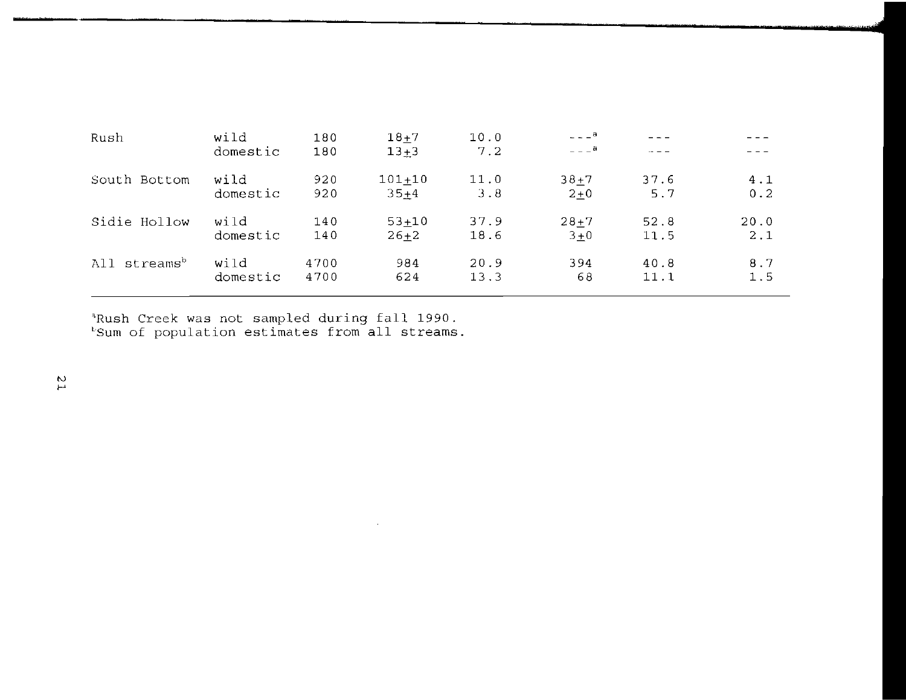| Rush                        | wild     | 180  | $18 + 7$   | 10.0 | $- - -$ <sup>a</sup> |          |      |
|-----------------------------|----------|------|------------|------|----------------------|----------|------|
|                             | domestic | 180  | $13 + 3$   | 7.2  | $- - -$ a            | $\sim -$ |      |
| South Bottom                | wild     | 920  | $101 + 10$ | 11.0 | $38 + 7$             | 37.6     | 4.1  |
|                             | domestic | 920  | $35+4$     | 3.8  | $2 + 0$              | 5.7      | 0.2  |
| Sidie Hollow                | wild     | 140  | $53 + 10$  | 37.9 | $28 + 7$             | 52.8     | 20.0 |
|                             | domestic | 140  | $26 + 2$   | 18.6 | $3 + 0$              | 11.5     | 2.1  |
| streams <sup>b</sup><br>A11 | wild     | 4700 | 984        | 20.9 | 394                  | 40.8     | 8.7  |
|                             | domestic | 4700 | 624        | 13.3 | 68                   | 11.1     | 1.5  |

 $\sim 100$ 

Rush Creek was not sampled during fall 1990. kush creek was not sampled during fuit 1990.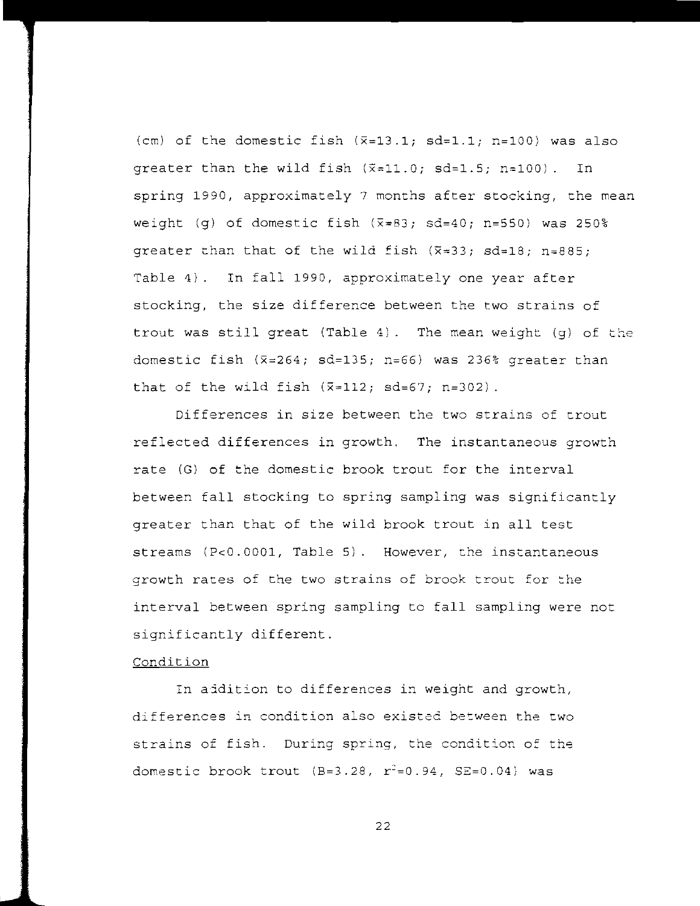(em) of the domestic fish *(x=13.1;* sd=l.l; n=100) was also qreater than the wild fish  $(\bar{x}=11.0; \text{ sd}=1.5; \text{ n}=100)$ . In spring 1990, approximately 7 months after stocking, the mean weight (g) of domestic fish  $(\overline{x}=83; \text{ sd}=40; \text{ n}=550)$  was 250% qreater than that of the wild fish  $(\bar{x}=33; sd=18; n=885;$ Table 4). In fall 1990, approximately one year after stocking, the size difference between the two strains of trout was still great (Table 4). The mean weight (g) of the domestic fish *(x=264;* sd=135; n=66) was 236% greater than that of the wild fish  $(\bar{x}=112; s d=67; n=302)$ .

Differences in size between the two strains of trout reflected differences in growth. The instantaneous growth rate (G) of the domestic brook trout for the interval between fall stocking to spring sampling was significantly greater than that of the wild brook trout in all test streams (PeO.0001, Table 5). However, the instantaneous growth rates of the two strains of brook trout for the interval between spring sampling to fall sampling were not significantly different.

# Condition

In aidition to differences in weight and growth, **differences in condition also existed between the two**  strains of fish. During spring, the condition of the domestic brook trout  $(B=3.28, r^2=0.94, SE=0.04)$  was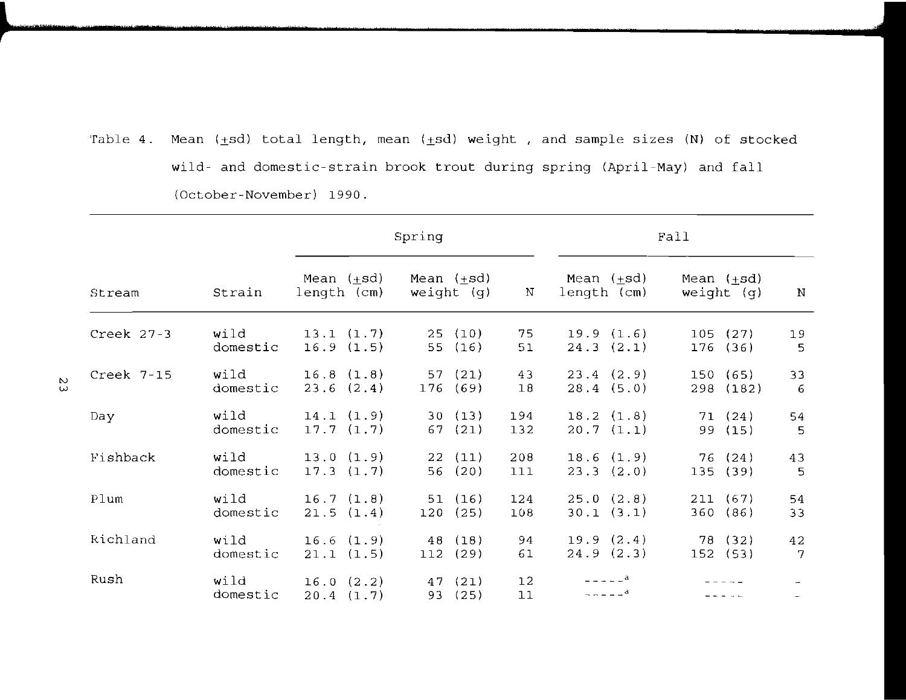Table 4. Mean  $(\pm sd)$  total length, mean  $(\pm sd)$  weight , and sample sizes (N) of stocked wild- and domestic-strain brook trout during spring (April-May) and fall (October-November) 1990.

|            |                  |                                | Spring                       |            | Fall                                                 |                                 |          |  |
|------------|------------------|--------------------------------|------------------------------|------------|------------------------------------------------------|---------------------------------|----------|--|
| Stream     | Strain           | Mean $(\pm sd)$<br>length (cm) | Mean $(+sd)$<br>weight $(q)$ | N          | Mean $(\pm sd)$<br>length (cm)                       | Mean $(\pm sd)$<br>weight $(q)$ | $\,$ N   |  |
| Creek 27-3 | wild<br>domestic | 13.1 (1.7)<br>16.9(1.5)        | 25(10)<br>55<br>(16)         | 75<br>51   | 19.9(1.6)<br>24.3(2.1)                               | 105<br>(27)<br>176<br>(36)      | 19<br>5  |  |
| Creek 7-15 | wild<br>domestic | 16.8(1.8)<br>23.6(2.4)         | 57(21)<br>176<br>(69)        | 43<br>18   | 23.4(2.9)<br>28.4(5.0)                               | 150 (65)<br>298 (182)           | 33<br>-6 |  |
| Day        | wild<br>domestic | 14.1(1.9)<br>17.7(1.7)         | 30(13)<br>67(21)             | 194<br>132 | 18.2(1.8)<br>20.7(1.1)                               | 71(24)<br>(15)<br>99            | 54<br>5  |  |
| Fishback   | wild<br>domestic | 13.0(1.9)<br>17.3(1.7)         | 22(11)<br>56(20)             | 208<br>111 | 18.6(1.9)<br>23.3(2.0)                               | 76(24)<br>135(39)               | 43<br>5  |  |
| Plum       | wild<br>domestic | 16.7(1.8)<br>21.5(1.4)         | 51(16)<br>120(25)            | 124<br>108 | 25.0(2.8)<br>30.1 (3.1)                              | 211(67)<br>360(86)              | 54<br>33 |  |
| Richland   | wild<br>domestic | 16.6(1.9)<br>21.1 (1.5)        | 48(18)<br>112(29)            | 94<br>61   | 19.9(2.4)<br>24.9(2.3)                               | 78 (32)<br>152 (53)             | 42<br>7  |  |
| Rush       | wild<br>domestic | 16.0 (2.2)<br>20.4(1.7)        | 47(21)<br>93<br>(25)         | 12<br>11   | $- - - - -$ <sup>a</sup><br>$- - - - -$ <sup>d</sup> |                                 | ÷        |  |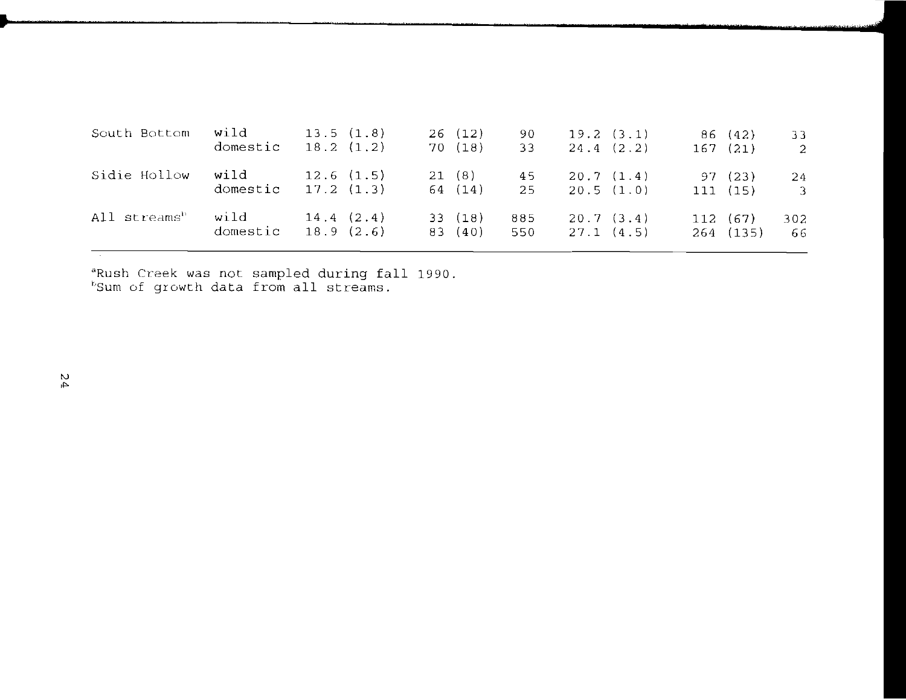| South Bottom             | wild<br>domestic | 13.5(1.8)<br>18.2(1.2) |       | 26(12)<br>70(18)  | 90.<br>33  |           | 19.2(3.1)<br>24.4(2.2) | 86 (42)<br>167(21)    | 33<br>$\overline{c}$          |
|--------------------------|------------------|------------------------|-------|-------------------|------------|-----------|------------------------|-----------------------|-------------------------------|
| Sidie Hollow             | wild<br>domestic | 12.6(1.5)<br>17.2(1.3) | 21(8) | 64 (14)           | 45<br>25   | 20.7(1.4) | 20.5(1.0)              | 97(23)<br>111(15)     | 24<br>$\overline{\mathbf{3}}$ |
| All streams <sup>h</sup> | wild<br>domestic | 14.4(2.4)<br>18.9(2.6) |       | 33(18)<br>83 (40) | 885<br>550 | 27.1(4.5) | 20.7(3.4)              | 112 (67)<br>264 (135) | 302<br>66                     |

<sup>a</sup>Rush Creek was not  $^{\rm b}$ Sum of growth data sampled during fall sampled during fa<br>from all streams. 1990.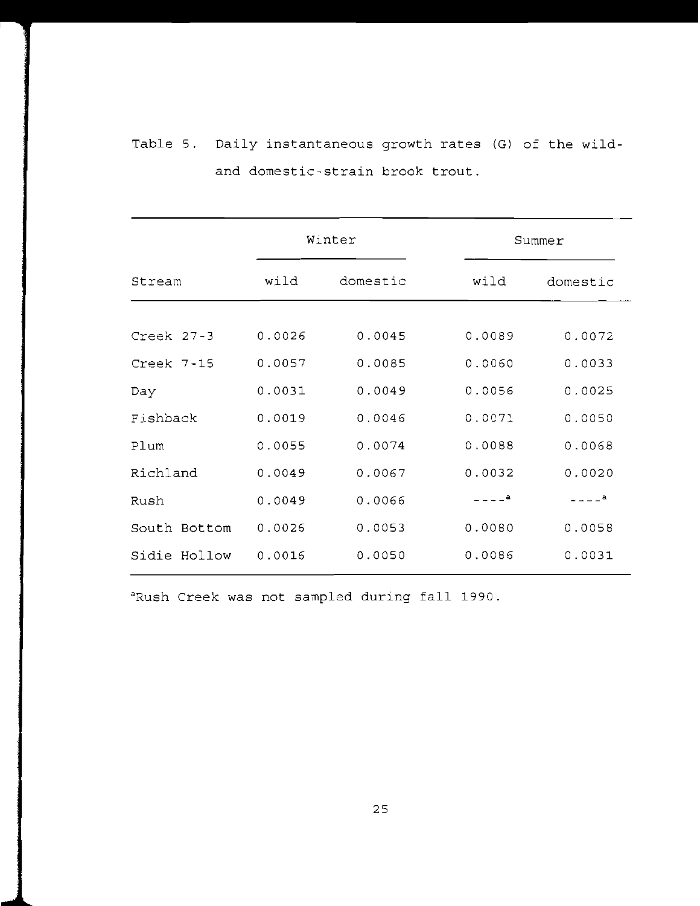| Table 5. Daily instantaneous growth rates (G) of the wild- |
|------------------------------------------------------------|
| and domestic-strain brook trout.                           |

دى بىرە بەرەت ئەرەپ كەنتىك كەنتىك ئەرەپ بىرى ئاردىسى ئەرەپ ئەسىسى ئەمەملىك ئەرەپ كەنتىك ئەرەپ كەنتىك ئەرەپ كەن

|               |        | Winter   | Summer      |          |  |  |
|---------------|--------|----------|-------------|----------|--|--|
| Stream        | wild   | domestic | wild        | domestic |  |  |
| Creek 27-3    | 0.0026 | 0.0045   | 0.0089      | 0.0072   |  |  |
| $Create 7-15$ | 0.0057 | 0.0085   | 0.0060      | 0.0033   |  |  |
| Day           | 0.0031 | 0.0049   | 0.0056      | 0.0025   |  |  |
| Fishback      | 0.0019 | 0.0046   | 0.0071      | 0.0050   |  |  |
| Plum          | 0.0055 | 0.0074   | 0.0088      | 0.0068   |  |  |
| Richland      | 0.0049 | 0.0067   | 0.0032      | 0.0020   |  |  |
| Rush          | 0.0049 | 0.0066   | $- - - -$ a | $    a$  |  |  |
| South Bottom  | 0.0026 | 0.0053   | 0.0080      | 0.0058   |  |  |
| Sidie Hollow  | 0.0016 | 0.0050   | 0.0086      | 0.0031   |  |  |

aRush Creek was not sampled during fall 1990.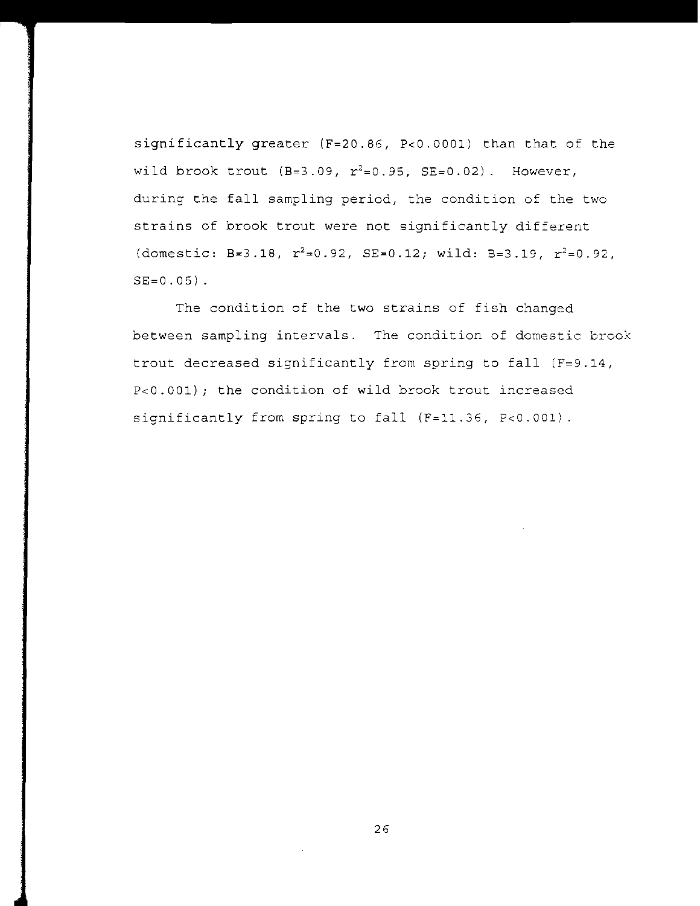significantly greater (F=20.86, P<O.OOOl) than that of the wild brook trout  $(B=3.09, r^2=0.95, SE=0.02)$ . However, during the fall sampling period, the condition of the two strains of brook trout were not significantly different (domestic: B=3.18,  $r^2=0.92$ , SE=0.12; wild: B=3.19,  $r^2=0.92$ ,  $SE=0.05$ ).

The condition of the two strains of fish changed between sampling intervals. The condition of domestic brook trout decreased significantly from spring to fall (F=9.14, P<O.OOl); the condition of wild brook trout increased significantly from spring to fall (F=11.36, P<0.001).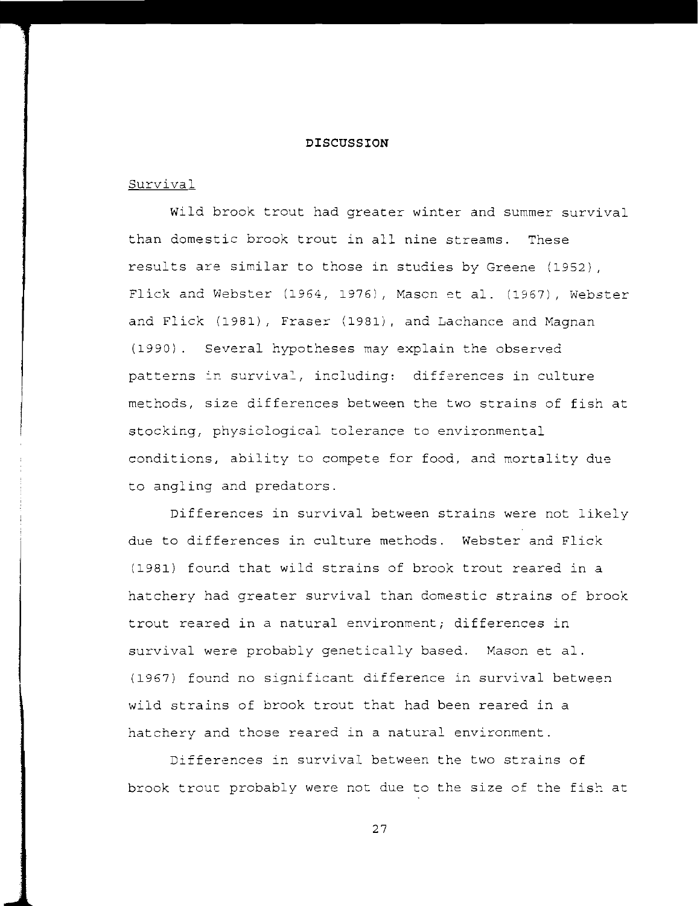### **DISCUSSION**

# Survival

wild brook trout had greater winter and summer survival than domestic brook trout in all nine streams. These results are similar to those in studies by Greene (1952) FlicK and Webster (1964, 1976), Mason et al. (1967), Webster and Flick (1981), Fraser (1981), and Lachance and Magnan (1990). Several hypotheses may explain the observed<br>patterns in survival, including: differences in cult patterns in survival, including: differences in culture methods, size differences between the two strains of fish at stocking, physiological tolerance to environmental conditions, ability to compete for food, and mortality due to angling and predators.

Differences in survival between strains were not likely due to differences in culture methods. Webster and Flick (1981) found that wild strains of brook trout reared in a hatchery had greater survival than domestic strains of brook trout reared in a natural environment; differences in survival were probably genetically based. Mason et al. (1967) found no significant difference in survival between wild strains of brook trout that had been reared in a hatchery and those reared in a natural environment.

Differences in survival between the two strains of brook trout probably were not due to the size of the fish at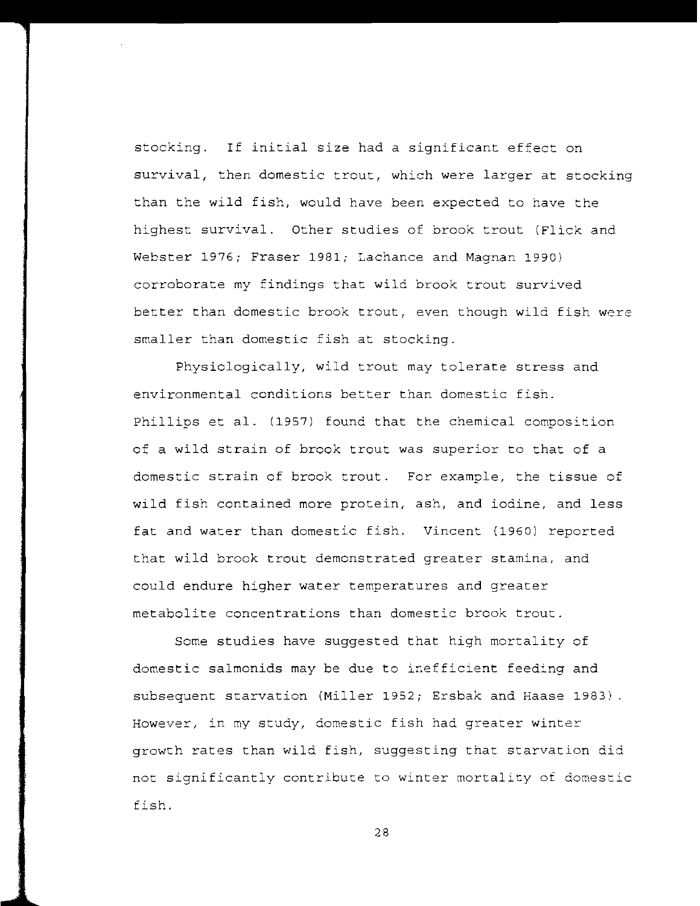stocking. If initial size had a significant effect on survival, then domestic trout, which were larger at stocking than the wild fish, would have been expected to have the highest survival. Other studies of brook trout (Flick and Webster 1976; Fraser 1981; Lachance and Magnan 1990) corroborate my findings that wild brook trout survived better than domestic brook trout, even though wild fish were smaller than domestic fish at stocking.

Physiologically, wild trout may tolerate stress and environmental conditions better than domestic fish. Phillips et al. (1957) found that the chemical composition of a wild strain of brook trout was superior to that of a domestic strain of brook trout. For example, the tissue of wild fish contained more protein, ash, and iodine, and less fat and water than domestic fish. Vincent (1960) reported that wild brook trout demonstrated greater stamina, and could endure higher water temperatures and greater metabolite concentrations than domestic brook trout.

Some studies have suggested that high mortality of domestic salmonids may be due to inefficient feeding and subsequent starvation (Miller 1952; Ersbak and Haase 1983) However, in my study, domestic fish had greater winter growth rates than wild fish, suggesting that starvation did not significantly contribute to winter mortality of domestic fish.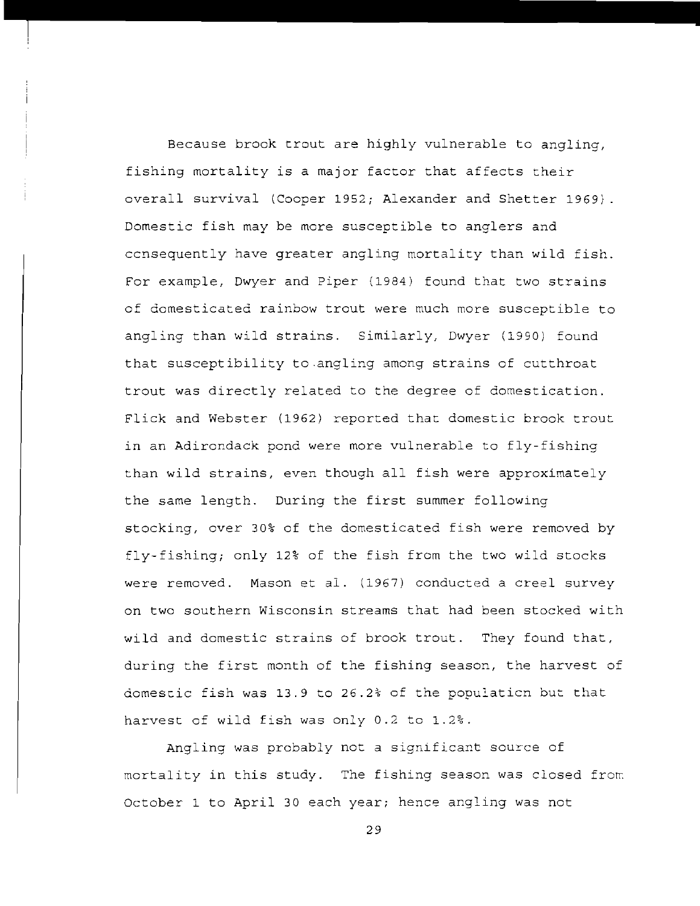Because brook trout are highly vulnerable to angling, fishing mortality is a major factor that affects their overall survival (Cooper 1952; Alexander and Shetter 1969) Domestic fish may be more susceptible to anglers and ccnsequently have greater angling mortality than wild fish. For example, Dwyer and piper (1984) found that two strains of domesticated rainbow trout were much more susceptible to angling than wild strains. Similarly, Dwyer (1990) found that susceptibility to angling among strains of cutthroat trout was directly related to the degree of domestication. Flick and Webster (1962) reported that domestic brook trout in an Adirondack pond were more vulnerable to fly-fishing than wild strains, even though all fish were approximately the same length. During the first summer following stocking, over 30% of the domesticated fish were removed by fly-fishing; only 12% of the fish from the two wild stocks were removed. Mason et al. (1967) conducted a creel survey on two southern Wisconsin streams that had been stocked with wild and domestic strains of brook trout. They found that, during the first month of the fishing season, the harvest of domescic fish was 13.9 to 26.2% of the populaticn but that harvest of wild fish was only 0.2 to 1.2%.

Angling was probably not a significant source of mortality in this study. The fishing season was closed from October 1 to April 30 each year; hence angling was not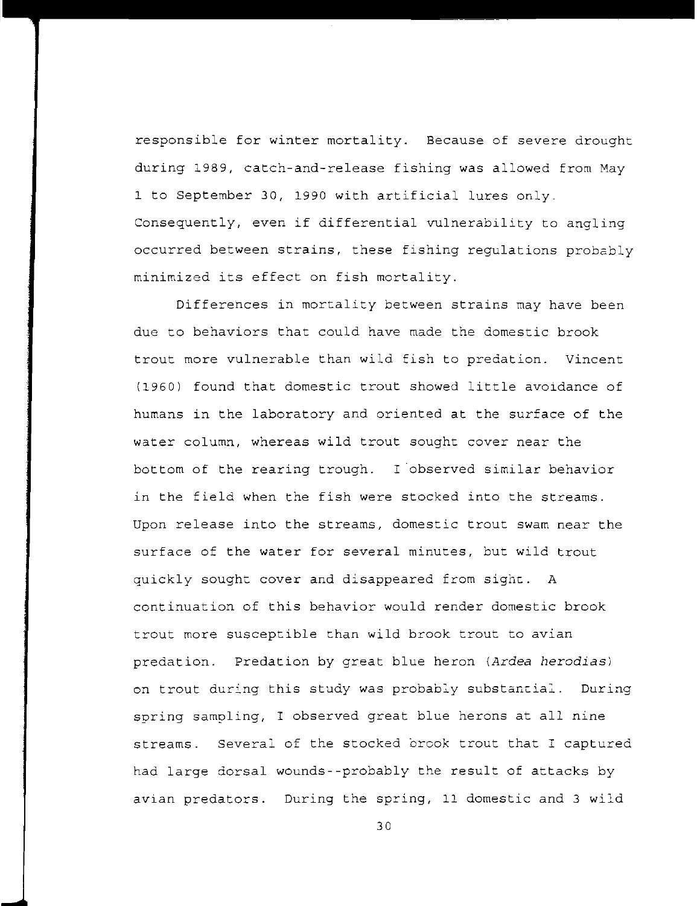responsible for winter mortality. Because of severe drought during 1989, catch-and-release fishing was allowed from May 1 to September 30, 1990 with artificial lures only\_ Consequently, even if differential vulnerability to angling occurred between strains, these fishing regulations probably minimized its effect on fish mortality.

Differences in mortality between strains may have been due to behaviors that could have made the domestic brook trout more vulnerable than wild fish to predation. Vincent (1960) found that domestic trout showed little avoidance of humans in the laboratory and oriented at the surface of the water column, whereas wild trout sought cover near the bottom of the rearing trough. I observed similar behavior in the field when the fish were stocked into the streams. Upon release into the streams, domestic trout swam near the surface of the water for several minutes, but wild trout quickly sought cover and disappeared from sighc. A continuation of this behavior would render domestic brook trout more susceptible than wild brook trout to avian predation. Predation by great blue heron *(Ardea herodias)*  on trout during this study was probab:y substancia:. During spring sampling, I observed great blue herons at all nine streams. Several of the stocked brook trout that I captured had large dorsal wounds--probably the result of attacks by avian predators. During the spring, 11 domestic and 3 wild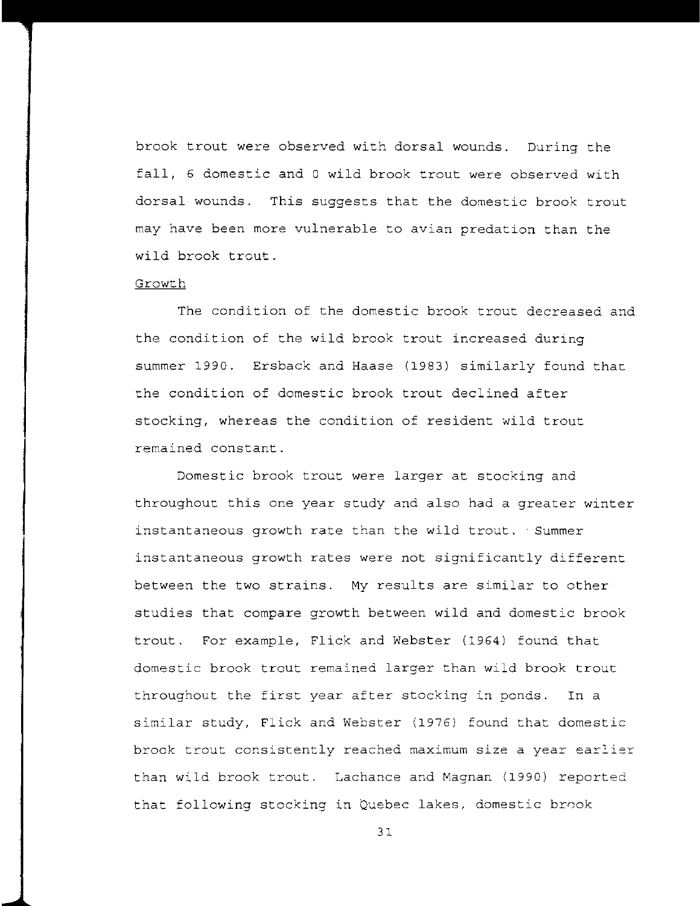brook trout were observed with dorsal wounds. During the fall, 6 domestic and 0 wild brook trout were observed with dorsal wounds. This suggests that the domestic brook trout may have been more vulnerable to avian predation than the wild brook trout.

## Growth

The condition of the domestic brook trout decreased and the condition of the wild brook trout increased during summer 1990. Ersback and Haase (1983) similarly found that the condition of domestic brook trout declined after stocking, whereas the condition of resident wild trout remained constant.

Domestic brook trout were larger at stocking and throughout this one year study and also had a greater winter instantaneous growth rate than the wild trout. Summer instantaneous growth rates were not significantly different between the two strains. My results are similar to other studies that compare growth between wild and domestic brook trout. For example, Flick and Webster (1964) found that domestic brook trout remained larger than wild brook trout throughout the first year after stocking in ponds. In a similar study, Flick and Webster (1976) found that domestic **brook trout consistently reached maximum size a year earlier**  than wild brook trout. Lachance and Magnan (1990) reported that following stocking in Quebec lakes, domestic brook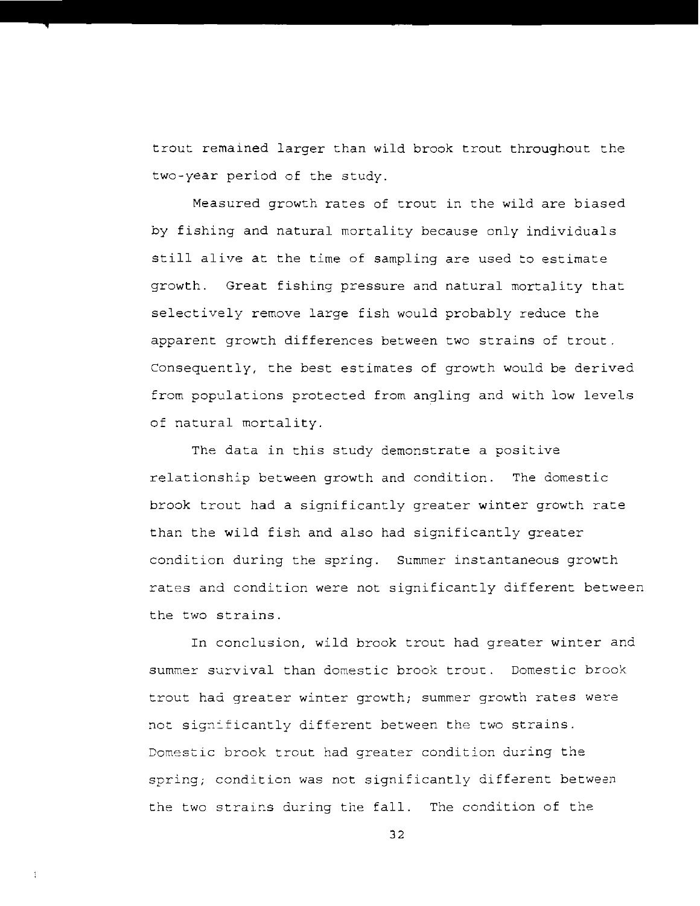trout remained larger than wild brook trout throughout the two-year period of the study.

Measured growth rates of trout in the wild are biased by fishing and natural mortality because only individuals still alive at the time of sampling are used to estimate growth. Great fishing pressure and natural mortality that selectively remove large fish would probably reduce the apparent growth differences between two strains of trout. Consequently, the best estimates of growth would be derived from populations protected from angling and with low levels of natural mortality.

The data in this study demonstrate a positive relationship between growth and condition. The domestic brook trout had a significantly greater winter growth rate than the wild fish and also had significantly greater condition during the spring. Summer instantaneous growth rates and condition were not significantly different between the two strains.

In conclusion, wild brook trout had greater winter and summer survival than domestic brook troue. Domestic brook trout had greater winter growth; summer growth rates were not significantly different between the two strains. Domestic brook trout had greater condition during the spring; condition was not significantly different between the two strains during the fall. The condition of the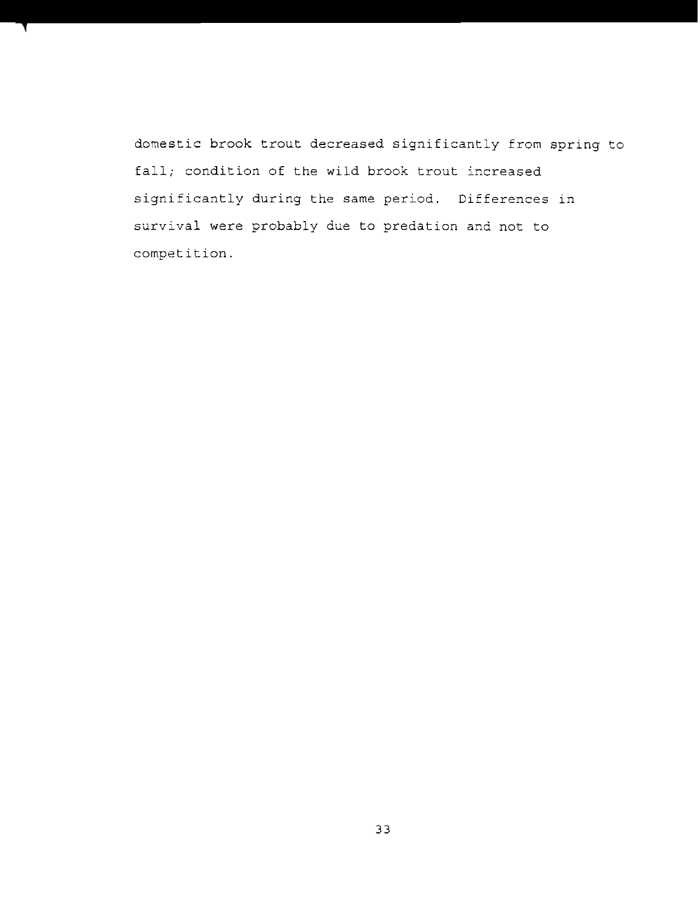domestic brook trout decreased significantly from spring to fall; condition of the wild brook trout increased significantly during the same period. Differences in survival were probably due to predation and not to competition.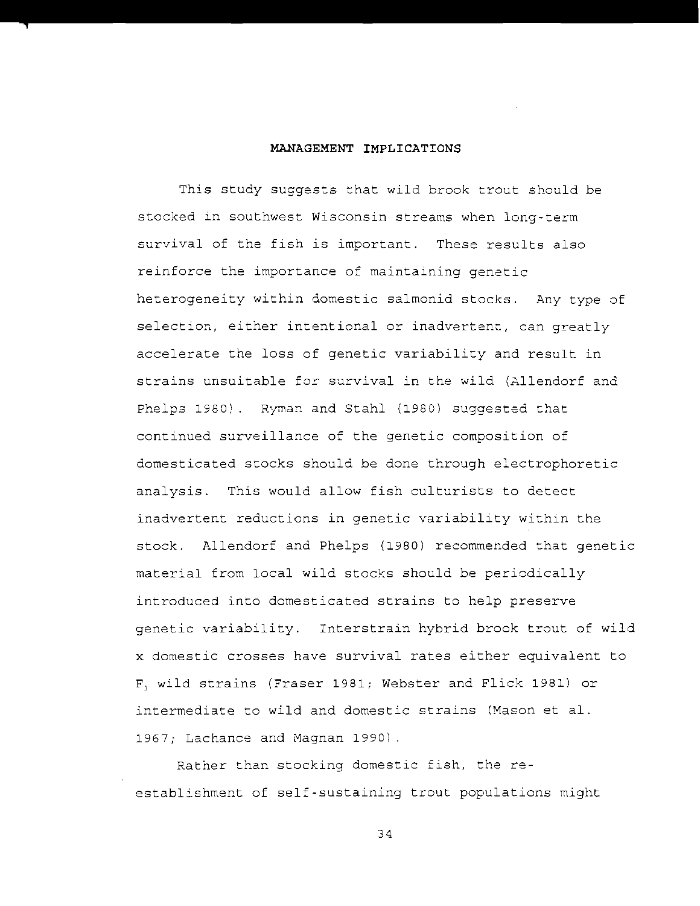## **MANAGEMENT IMPLICATIONS**

This study suggests that wild brook trout should be stocked in southwest Wisconsin streams when long-term survival of the fish is important. These results also reinforce the importance of maintaining genetic heterogeneity within domestic salmonid stocks. Any type of selection, either intentional or inadvertenc, can greatly accelerate the loss of genetic variability and result in strains unsuitable for survival in the wild (Allendorf and Phelps 1980). Ryman and Stahl (1980) suggested that continued surveillance of the genetic composition of domesticated stocks should be done through electrophoretic analysis. This would allow fish culturists to detect inadvertent reductions in genetic variability within the stock. Allendorf and Phelps (1980) recommended that genetic material from local wild stocks should be periodically introduced into domesticated strains to help preserve genetic variability. Interstrain hybrid brook trout of wild x domestic crosses have survival rates either equivalent to F] wild strains (Fraser 1981; Webster and Flick 1981) or intermediate to wild and domestic strains (Mason et al. 1967; Lachance and Magnan 1990) .

Rather than stocking domestic fish, the reestablishment of self-sustaining trout populations might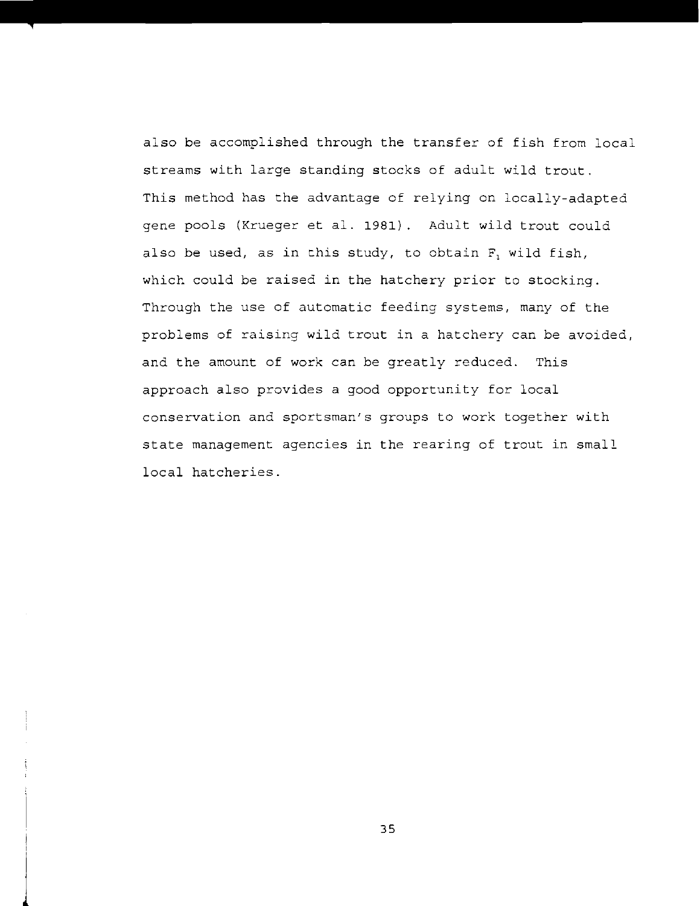also be accomplished through the transfer of fish from local streams with large standing stocks of adult wild trout. This method has the advantage of relying on locally-adapted gene pools (Krueger et al. 1981). Adult wild trout could also be used, as in this study, to obtain F, wild fish, which could be raised in the hatchery prior to stocking. Through the use of automatic feeding systems, many of the problems of raising wild trout in a hatchery can be avoided, and the amount of work can be greatly reduced. This approach also provides a good opportunity for local conservation and sportsman's groups to work together with state management agencies in the rearing of trout in small local hatcheries.

 $\frac{1}{2}$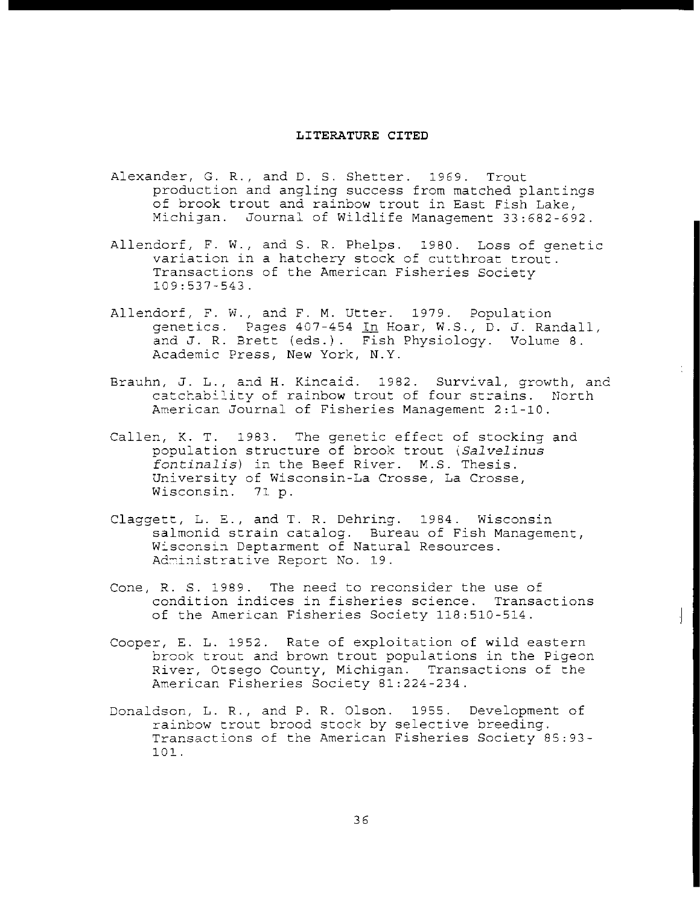#### **LITERATURE CITED**

- Alexander, G. R., and D. S. Shetter. 1969. Trout production and angling success from matched plantings of brook trout and rainbow trout in East Fish Lake, Michigan. Journal of Wildlife Management 33:682-692.
- Allendorf, F. W., and S. R. Phelps. 1980. Loss of genetic variation in a hatchery stock of cutthroat trout. Transactions of the American Fisheries Society 109:537-543.
- Allendorf, F. W., and F. M. Utter. 1979. Population genetics. Pages 407-454 In Hoar, W.S., D. J. Randall, and J. R. Brett (eds.). Fish Physiology. Volume 8. Academic Press, New York, N.Y.
- Brauhn, J. L., and H. Kincaid. 1982. Survival, growth, and catchability of rainbow trout of four strains. North American Journal of Fisheries Management 2:1-10.
- Callen, K. T. 1983. The genetic effect of stocking and population structure of brook trout *\Salvelinus fontinalis)* in the Beef River. M.S. Thesis. University of Wisconsin-La Crosse, La Crosse, Wisconsin. 71 p.
- Claggett, L. E., and T. R. Dehring. 1984. Wisconsin salmonid strain catalog. Bureau of Fish Management, Wisconsin Deptarment of Natural Resources. Administrative Report No. 19.
- Cone, R. S. 1989. The need to reconsider the use of condition indices in fisheries science. Transactions of the American Fisheries Society 118:510-514.
- Cooper, E. L. 1952. Rate of exploitation of wild eastern brook trout and brown trout populations in the Pigeon River, Otsego County, Michigan. Transactions of the American Fisheries Society 81:224-234.
- Donaldson, L. R., and P. R. Olson. 1955. Development of rainbow trout brood stock by selective breeding. Transactions of the American Fisheries Society 85:93-101.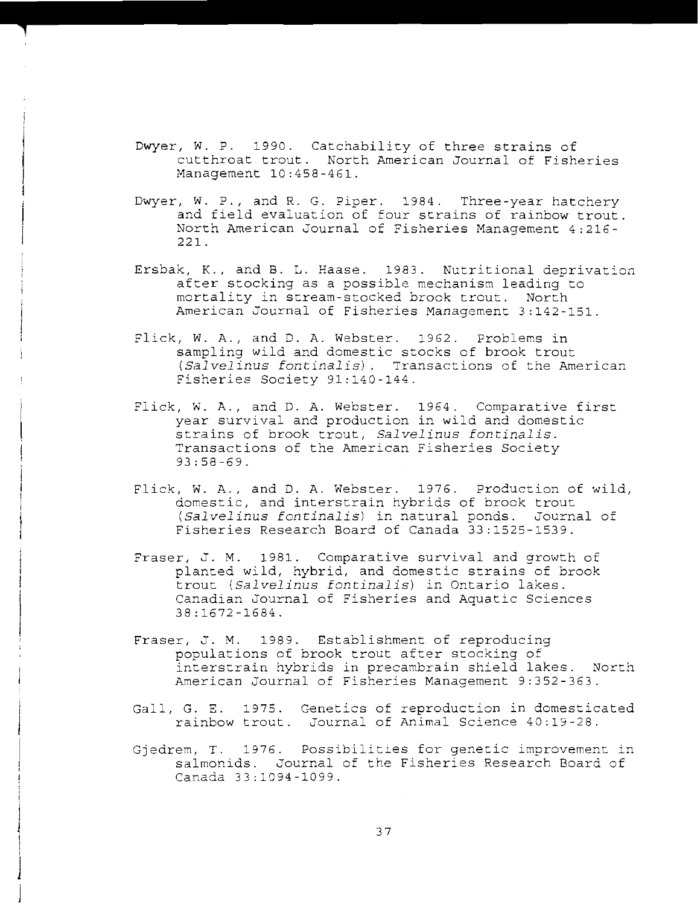- Dwyer, W. P. 1990. Catchability of three strains of cutthroat trout. North American Journal of Fisheries Management 10:458-461.
- Dwyer, W. P., and R. G. Piper. 1984. Three-year hatchery and field evaluation of four strains of rainbow trout. North American Journal of Fisheries Management 4:216 221.
- Ersbak, K., and B. L. Haase. 1983. Nutritional deprivation after stocking as a possible mechanism leading to mortality in stream-stocked brook trout. North American Journal of Fisheries Management 3:142-151.
- Flick, W. A., and D. A. Webster. 1962. Problems in sampling wild and domestic stocks of brook trout (Salvelinus fontinalis). Transactions of the American Fisheries Society 91:140-144.
- Flick, W. A., and D. A. Webster. 1964. Comparative first year survival and production in wild and domestic strains of brook trout, *Salvelinus* fontinalis. Transactions of the American Fisheries Society 93:58-69.
- Flick, W. A., and D. A. Webster. 1976. Production of wild, domestic, and interstrain hybrids of brook trout *(Salvelinus fontinalis)* in natural ponds. Journal of Fisheries Research Board of Canada 33:1525-1539.
- Fraser, J. M. 1981. Comparative survival and growth of planted wild, hybrid, and domestic strains of brook trout *(Salvelinus fontinalisl* in Ontario lakes. Canadian Journal of Fisheries and Aquatic Sciences 38:1672-1684.
- Fraser, J. M. 1989. Establishment of reproducing populations of brook trout after stocking of interstrain hybrids in precambrain shield lakes. North American Journal of Fisheries Management 9:352-363.
- Gall, G. E. 1975. Genetics of reproduction in domesticated rainbow trout. Journal of Animal Science 40:19-28.
- Gjedrem, T. 1976. Possibilities for genetic improvement in salmonids. Journal of the Fisheries Research Board of Canada 33:1094-1099.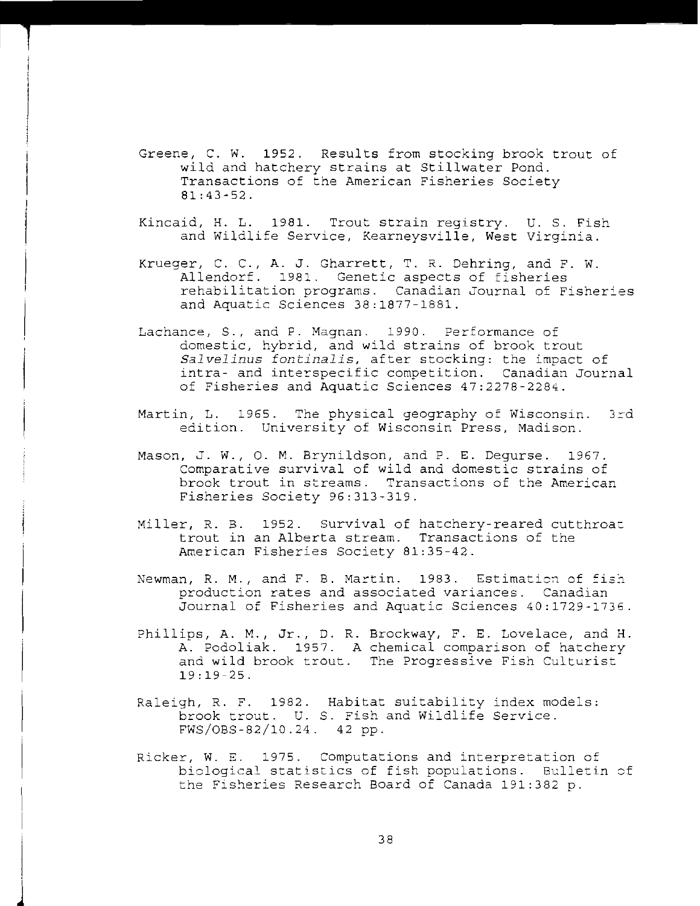- Greene, C. W. 1952. Results from stocking brook trout of wild and hatchery strains at Stillwater Pond. Transactions of the American Fisheries Society 81:43-52.
- Kincaid, H. L. 1981. Trout strain registry. U. S. Fish and Wildlife Service, Kearneysville, West Virginia.
- I Krueger, C. C., A. J. Gharrett, T. R. Dehring, and F. W. Allendorf. 1981. Genetic aspects of fisheries rehabilitation programs. Canadian Journal of Fisheries and Aquatic Sciences 38:1877-1881.
- Lachance, S., and P. Magnan. 1990. Performance of domestic, hybrid, and wild strains of brook trout *Salvelinus fontinalis,* after stocking: the impact of intra- and interspecific competition. Canadian Journal of Fisheries and Aquatic Sciences 47:2278-2284.
- Martin, L. 1965. The physical geography of Wisconsin. 3rd edition. University of Wisconsin Press, Madison.
- Mason, J. W., O. M. Brynildson, and P. E. Degurse. 1967. Comparative survival of wild and domestic strains of brook trout in streams. Transactions of the American Fisheries Society 96:313-319.
- Miller, R. B. 1952. Survival of hatchery-reared cutthroat trout in an Alberta stream. Transactions of the **American** Fisheries Society 81:35-42.
- Newman, R. M., and F. B. Martin.  $1983.$  Estimation of fish production rates and associated variances. Canadian Journal of Fisheries and Aquatic Sciences 40:1729-1736.
- Phillips, A. M., Jr., D. R. Brockway, F. E. Lovelace, and H. A. Podoliak. 1957. A chemical comparison of hatchery and wild brook trout. The Progressive Fish Culturist 19:19-25.
- Raleigh, R. F. 1982. Habitat suitability index models: brook trout. U. S. Fish and Wildlife Service. FWS/OBS-82/10.24. 42 pp.
- Ricker, W. E. 1975. Computations and interpretation of biclogical statistics of fish populations. Bulletin cf the Fisheries Research Board of Canada 191:382 p.

j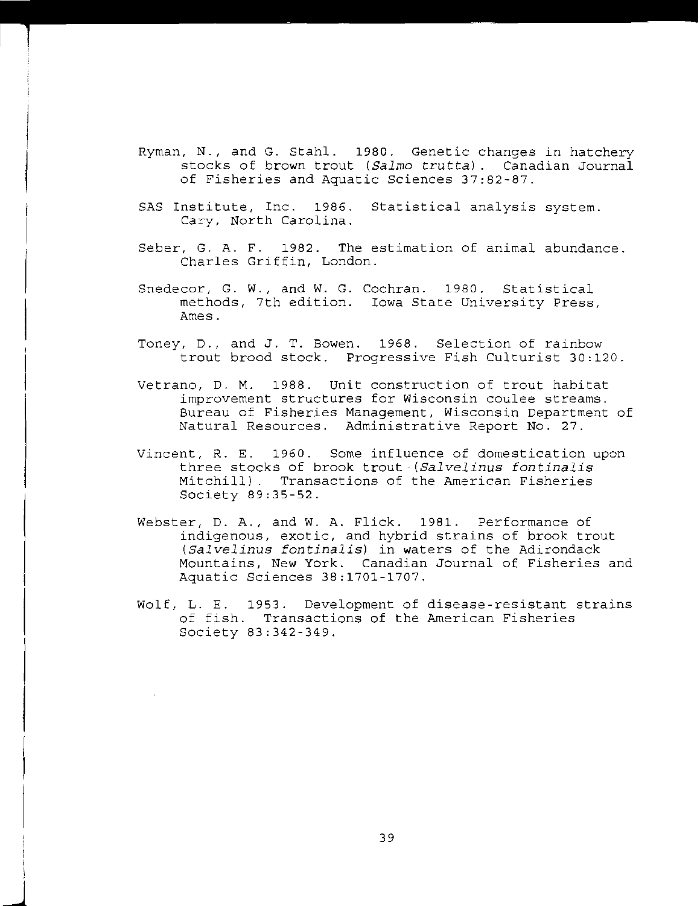- Ryman, N., and G. Stahl. 1980. Genetic changes in hatchery stocks of brown trout *(Salmo truttal.* Canadian Journal of Fisheries and Aquatic Sciences 37:82-87.
- SAS Institute, Inc. 1986. Statistical analysis system. Cary, North Carolina.
- Seber, G. A. F. 1982. The estimation of animal abundance. Charles Griffin, London.
- Snedecor, G. W., and W. G. Cochran. 1980. Statistical methods, 7th edition. Iowa State University Press, Ames.
- Toney, D., and J. T. Bowen. 1968. Selection of rainbow trout brood stock. Progressive Fish Culturist 30:120.
- Vetrano, D. M. 1988. Unit construction of trout habitat improvement structures for Wisconsin coulee streams. Bureau of Fisheries Management, Wisconsin Department of Natural Resources. Administrative Report No. 27.
- Vincent, R. E. 1960. Some influence of domestication upon three stocks of brook trout *(Salvelinus fontinalis*  Mitchill). Transactions of the American Fisheries Society 89:35-52.
- Webster, D. A., and W. A. Flick. 1981. Performance of indigenous, exotic, and hybrid strains of brook trout *(Salvelinus fontinalisl* in waters of the Adirondack Mountains, New York. Canadian Journal of Fisheries and Aquatic Sciences 38:1701-1707.
- Wolf, L. E. 1953. Development of disease-resistant strains of fish. Transactions of the American Fisheries Society 83:342-349.